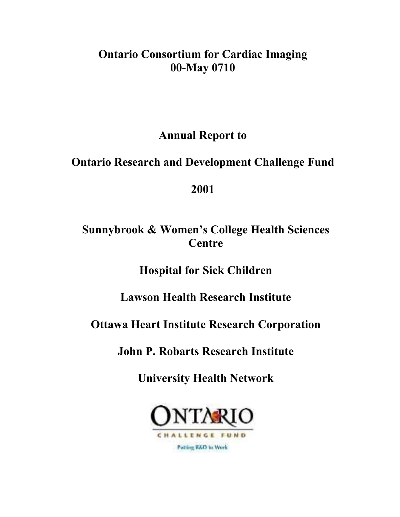# **Ontario Consortium for Cardiac Imaging 00-May 0710**

**Annual Report to** 

# **Ontario Research and Development Challenge Fund**

# **2001**

# **Sunnybrook & Women's College Health Sciences Centre**

**Hospital for Sick Children** 

# **Lawson Health Research Institute**

# **Ottawa Heart Institute Research Corporation**

# **John P. Robarts Research Institute**

**University Health Network**

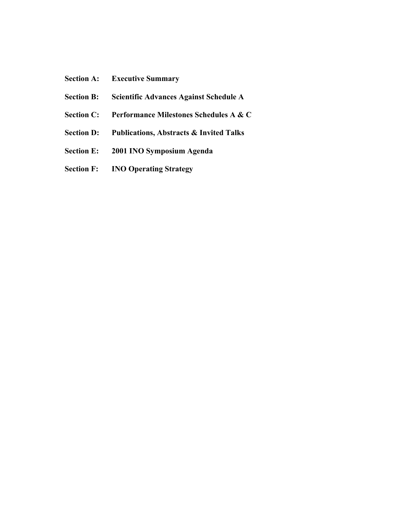- **Section A: Executive Summary**
- **Section B: Scientific Advances Against Schedule A**
- **Section C: Performance Milestones Schedules A & C**
- **Section D: Publications, Abstracts & Invited Talks**
- **Section E: 2001 INO Symposium Agenda**
- **Section F: INO Operating Strategy**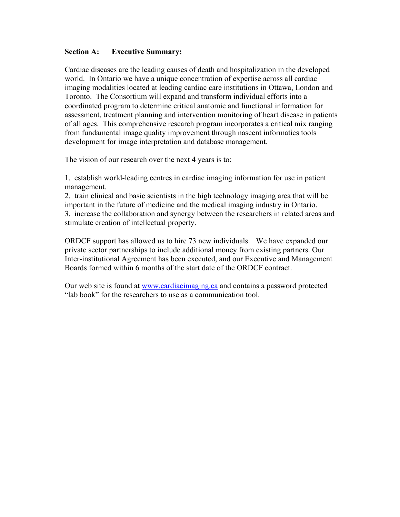### **Section A: Executive Summary:**

Cardiac diseases are the leading causes of death and hospitalization in the developed world. In Ontario we have a unique concentration of expertise across all cardiac imaging modalities located at leading cardiac care institutions in Ottawa, London and Toronto. The Consortium will expand and transform individual efforts into a coordinated program to determine critical anatomic and functional information for assessment, treatment planning and intervention monitoring of heart disease in patients of all ages. This comprehensive research program incorporates a critical mix ranging from fundamental image quality improvement through nascent informatics tools development for image interpretation and database management.

The vision of our research over the next 4 years is to:

1. establish world-leading centres in cardiac imaging information for use in patient management.

2. train clinical and basic scientists in the high technology imaging area that will be important in the future of medicine and the medical imaging industry in Ontario. 3. increase the collaboration and synergy between the researchers in related areas and stimulate creation of intellectual property.

ORDCF support has allowed us to hire 73 new individuals. We have expanded our private sector partnerships to include additional money from existing partners. Our Inter-institutional Agreement has been executed, and our Executive and Management Boards formed within 6 months of the start date of the ORDCF contract.

Our web site is found at www.cardiacimaging.ca and contains a password protected "lab book" for the researchers to use as a communication tool.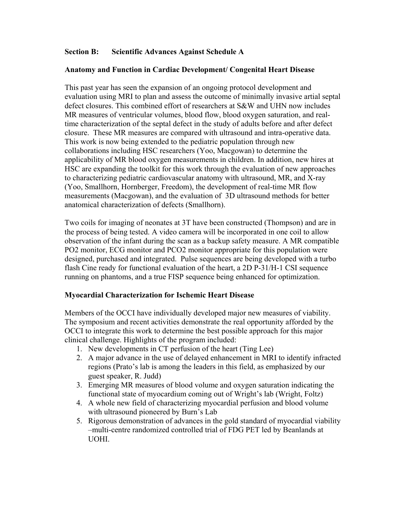### **Section B: Scientific Advances Against Schedule A**

### **Anatomy and Function in Cardiac Development/ Congenital Heart Disease**

This past year has seen the expansion of an ongoing protocol development and evaluation using MRI to plan and assess the outcome of minimally invasive artial septal defect closures. This combined effort of researchers at S&W and UHN now includes MR measures of ventricular volumes, blood flow, blood oxygen saturation, and realtime characterization of the septal defect in the study of adults before and after defect closure. These MR measures are compared with ultrasound and intra-operative data. This work is now being extended to the pediatric population through new collaborations including HSC researchers (Yoo, Macgowan) to determine the applicability of MR blood oxygen measurements in children. In addition, new hires at HSC are expanding the toolkit for this work through the evaluation of new approaches to characterizing pediatric cardiovascular anatomy with ultrasound, MR, and X-ray (Yoo, Smallhorn, Hornberger, Freedom), the development of real-time MR flow measurements (Macgowan), and the evaluation of 3D ultrasound methods for better anatomical characterization of defects (Smallhorn).

Two coils for imaging of neonates at 3T have been constructed (Thompson) and are in the process of being tested. A video camera will be incorporated in one coil to allow observation of the infant during the scan as a backup safety measure. A MR compatible PO2 monitor, ECG monitor and PCO2 monitor appropriate for this population were designed, purchased and integrated. Pulse sequences are being developed with a turbo flash Cine ready for functional evaluation of the heart, a 2D P-31/H-1 CSI sequence running on phantoms, and a true FISP sequence being enhanced for optimization.

### **Myocardial Characterization for Ischemic Heart Disease**

Members of the OCCI have individually developed major new measures of viability. The symposium and recent activities demonstrate the real opportunity afforded by the OCCI to integrate this work to determine the best possible approach for this major clinical challenge. Highlights of the program included:

- 1. New developments in CT perfusion of the heart (Ting Lee)
- 2. A major advance in the use of delayed enhancement in MRI to identify infracted regions (Prato's lab is among the leaders in this field, as emphasized by our guest speaker, R. Judd)
- 3. Emerging MR measures of blood volume and oxygen saturation indicating the functional state of myocardium coming out of Wright's lab (Wright, Foltz)
- 4. A whole new field of characterizing myocardial perfusion and blood volume with ultrasound pioneered by Burn's Lab
- 5. Rigorous demonstration of advances in the gold standard of myocardial viability –multi-centre randomized controlled trial of FDG PET led by Beanlands at UOHI.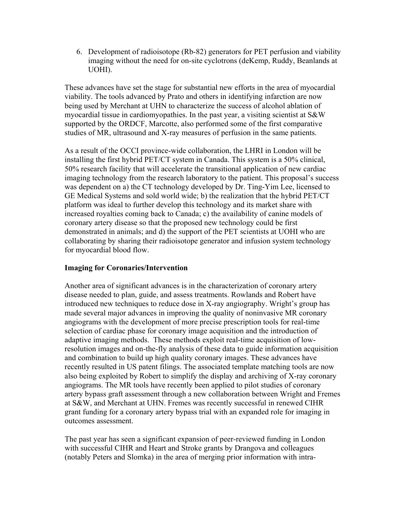6. Development of radioisotope (Rb-82) generators for PET perfusion and viability imaging without the need for on-site cyclotrons (deKemp, Ruddy, Beanlands at UOHI).

These advances have set the stage for substantial new efforts in the area of myocardial viability. The tools advanced by Prato and others in identifying infarction are now being used by Merchant at UHN to characterize the success of alcohol ablation of myocardial tissue in cardiomyopathies. In the past year, a visiting scientist at S&W supported by the ORDCF, Marcotte, also performed some of the first comparative studies of MR, ultrasound and X-ray measures of perfusion in the same patients.

As a result of the OCCI province-wide collaboration, the LHRI in London will be installing the first hybrid PET/CT system in Canada. This system is a 50% clinical, 50% research facility that will accelerate the transitional application of new cardiac imaging technology from the research laboratory to the patient. This proposal's success was dependent on a) the CT technology developed by Dr. Ting-Yim Lee, licensed to GE Medical Systems and sold world wide; b) the realization that the hybrid PET/CT platform was ideal to further develop this technology and its market share with increased royalties coming back to Canada; c) the availability of canine models of coronary artery disease so that the proposed new technology could be first demonstrated in animals; and d) the support of the PET scientists at UOHI who are collaborating by sharing their radioisotope generator and infusion system technology for myocardial blood flow.

# **Imaging for Coronaries/Intervention**

Another area of significant advances is in the characterization of coronary artery disease needed to plan, guide, and assess treatments. Rowlands and Robert have introduced new techniques to reduce dose in X-ray angiography. Wright's group has made several major advances in improving the quality of noninvasive MR coronary angiograms with the development of more precise prescription tools for real-time selection of cardiac phase for coronary image acquisition and the introduction of adaptive imaging methods. These methods exploit real-time acquisition of lowresolution images and on-the-fly analysis of these data to guide information acquisition and combination to build up high quality coronary images. These advances have recently resulted in US patent filings. The associated template matching tools are now also being exploited by Robert to simplify the display and archiving of X-ray coronary angiograms. The MR tools have recently been applied to pilot studies of coronary artery bypass graft assessment through a new collaboration between Wright and Fremes at S&W, and Merchant at UHN. Fremes was recently successful in renewed CIHR grant funding for a coronary artery bypass trial with an expanded role for imaging in outcomes assessment.

The past year has seen a significant expansion of peer-reviewed funding in London with successful CIHR and Heart and Stroke grants by Drangova and colleagues (notably Peters and Slomka) in the area of merging prior information with intra-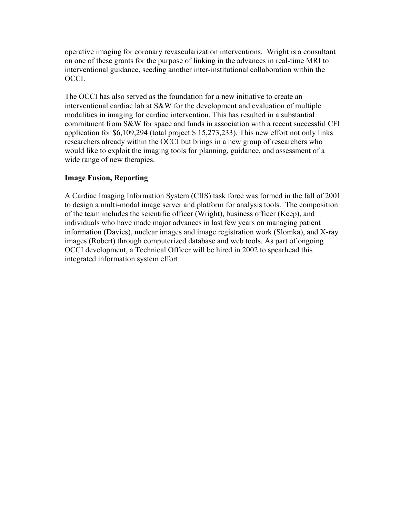operative imaging for coronary revascularization interventions. Wright is a consultant on one of these grants for the purpose of linking in the advances in real-time MRI to interventional guidance, seeding another inter-institutional collaboration within the OCCI.

The OCCI has also served as the foundation for a new initiative to create an interventional cardiac lab at S&W for the development and evaluation of multiple modalities in imaging for cardiac intervention. This has resulted in a substantial commitment from S&W for space and funds in association with a recent successful CFI application for \$6,109,294 (total project \$ 15,273,233). This new effort not only links researchers already within the OCCI but brings in a new group of researchers who would like to exploit the imaging tools for planning, guidance, and assessment of a wide range of new therapies.

# **Image Fusion, Reporting**

A Cardiac Imaging Information System (CIIS) task force was formed in the fall of 2001 to design a multi-modal image server and platform for analysis tools. The composition of the team includes the scientific officer (Wright), business officer (Keep), and individuals who have made major advances in last few years on managing patient information (Davies), nuclear images and image registration work (Slomka), and X-ray images (Robert) through computerized database and web tools. As part of ongoing OCCI development, a Technical Officer will be hired in 2002 to spearhead this integrated information system effort.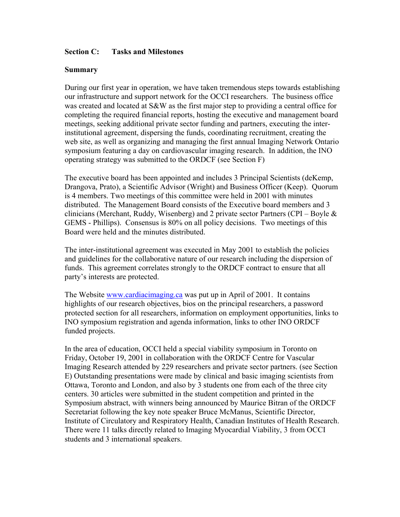### **Section C: Tasks and Milestones**

### **Summary**

During our first year in operation, we have taken tremendous steps towards establishing our infrastructure and support network for the OCCI researchers. The business office was created and located at S&W as the first major step to providing a central office for completing the required financial reports, hosting the executive and management board meetings, seeking additional private sector funding and partners, executing the interinstitutional agreement, dispersing the funds, coordinating recruitment, creating the web site, as well as organizing and managing the first annual Imaging Network Ontario symposium featuring a day on cardiovascular imaging research. In addition, the INO operating strategy was submitted to the ORDCF (see Section F)

The executive board has been appointed and includes 3 Principal Scientists (deKemp, Drangova, Prato), a Scientific Advisor (Wright) and Business Officer (Keep). Quorum is 4 members. Two meetings of this committee were held in 2001 with minutes distributed. The Management Board consists of the Executive board members and 3 clinicians (Merchant, Ruddy, Wisenberg) and 2 private sector Partners (CPI – Boyle & GEMS - Phillips). Consensus is 80% on all policy decisions. Two meetings of this Board were held and the minutes distributed.

The inter-institutional agreement was executed in May 2001 to establish the policies and guidelines for the collaborative nature of our research including the dispersion of funds. This agreement correlates strongly to the ORDCF contract to ensure that all party's interests are protected.

The Website www.cardiacimaging.ca was put up in April of 2001. It contains highlights of our research objectives, bios on the principal researchers, a password protected section for all researchers, information on employment opportunities, links to INO symposium registration and agenda information, links to other INO ORDCF funded projects.

In the area of education, OCCI held a special viability symposium in Toronto on Friday, October 19, 2001 in collaboration with the ORDCF Centre for Vascular Imaging Research attended by 229 researchers and private sector partners. (see Section E) Outstanding presentations were made by clinical and basic imaging scientists from Ottawa, Toronto and London, and also by 3 students one from each of the three city centers. 30 articles were submitted in the student competition and printed in the Symposium abstract, with winners being announced by Maurice Bitran of the ORDCF Secretariat following the key note speaker Bruce McManus, Scientific Director, Institute of Circulatory and Respiratory Health, Canadian Institutes of Health Research. There were 11 talks directly related to Imaging Myocardial Viability, 3 from OCCI students and 3 international speakers.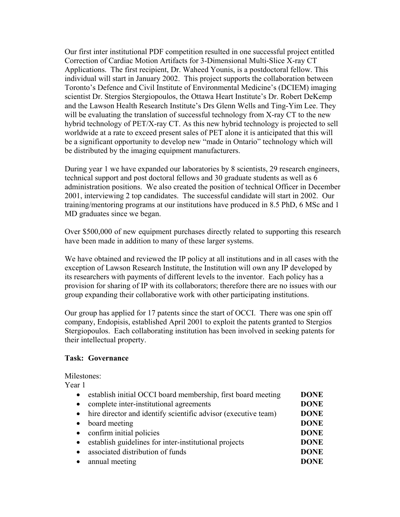Our first inter institutional PDF competition resulted in one successful project entitled Correction of Cardiac Motion Artifacts for 3-Dimensional Multi-Slice X-ray CT Applications. The first recipient, Dr. Waheed Younis, is a postdoctoral fellow. This individual will start in January 2002. This project supports the collaboration between Toronto's Defence and Civil Institute of Environmental Medicine's (DCIEM) imaging scientist Dr. Stergios Stergiopoulos, the Ottawa Heart Institute's Dr. Robert DeKemp and the Lawson Health Research Institute's Drs Glenn Wells and Ting-Yim Lee. They will be evaluating the translation of successful technology from X-ray CT to the new hybrid technology of PET/X-ray CT. As this new hybrid technology is projected to sell worldwide at a rate to exceed present sales of PET alone it is anticipated that this will be a significant opportunity to develop new "made in Ontario" technology which will be distributed by the imaging equipment manufacturers.

During year 1 we have expanded our laboratories by 8 scientists, 29 research engineers, technical support and post doctoral fellows and 30 graduate students as well as 6 administration positions. We also created the position of technical Officer in December 2001, interviewing 2 top candidates. The successful candidate will start in 2002. Our training/mentoring programs at our institutions have produced in 8.5 PhD, 6 MSc and 1 MD graduates since we began.

Over \$500,000 of new equipment purchases directly related to supporting this research have been made in addition to many of these larger systems.

We have obtained and reviewed the IP policy at all institutions and in all cases with the exception of Lawson Research Institute, the Institution will own any IP developed by its researchers with payments of different levels to the inventor. Each policy has a provision for sharing of IP with its collaborators; therefore there are no issues with our group expanding their collaborative work with other participating institutions.

Our group has applied for 17 patents since the start of OCCI. There was one spin off company, Endopisis, established April 2001 to exploit the patents granted to Stergios Stergiopoulos. Each collaborating institution has been involved in seeking patents for their intellectual property.

### **Task: Governance**

# Milestones:

Year 1

| $\bullet$ | establish initial OCCI board membership, first board meeting     | <b>DONE</b> |
|-----------|------------------------------------------------------------------|-------------|
| $\bullet$ | complete inter-institutional agreements                          | <b>DONE</b> |
|           | • hire director and identify scientific advisor (executive team) | <b>DONE</b> |
| $\bullet$ | board meeting                                                    | <b>DONE</b> |
| $\bullet$ | confirm initial policies                                         | <b>DONE</b> |
| $\bullet$ | establish guidelines for inter-institutional projects            | <b>DONE</b> |
| $\bullet$ | associated distribution of funds                                 | <b>DONE</b> |
|           | • annual meeting                                                 | <b>DONE</b> |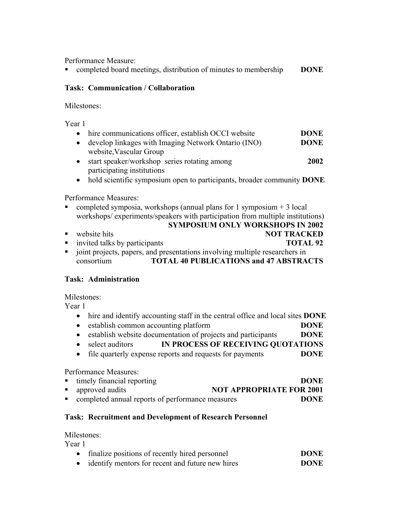Performance Measure:

**completed board meetings, distribution of minutes to membership DONE** 

# **Task: Communication / Collaboration**

Milestones:

Year 1

| $\bullet$ | hire communications officer, establish OCCI website                    | <b>DONE</b> |
|-----------|------------------------------------------------------------------------|-------------|
|           | develop linkages with Imaging Network Ontario (INO)                    | <b>DONE</b> |
|           | website, Vascular Group                                                |             |
|           | start speaker/workshop series rotating among                           | 2002        |
|           | participating institutions                                             |             |
|           | hold scientific symposium open to participants, broader community DONE |             |
|           |                                                                        |             |

Performance Measures:

- completed symposia, workshops (annual plans for 1 symposium  $+3$  local workshops/ experiments/speakers with participation from multiple institutions)
- **SYMPOSIUM ONLY WORKSHOPS IN 2002 NOT TRACKED** invited talks by participants **TOTAL 92** joint projects, papers, and presentations involving multiple researchers in
- consortium **TOTAL 40 PUBLICATIONS and 47 ABSTRACTS**

# **Task: Administration**

Milestones:

Year 1

- hire and identify accounting staff in the central office and local sites **DONE**
- establish common accounting platform **DONE**
- establish website documentation of projects and participants **DONE**
- select auditors **IN PROCESS OF RECEIVING QUOTATIONS**
- file quarterly expense reports and requests for payments **DONE**

# Performance Measures:

| • timely financial reporting                       | <b>DONE</b>                     |
|----------------------------------------------------|---------------------------------|
| • approved audits                                  | <b>NOT APPROPRIATE FOR 2001</b> |
| • completed annual reports of performance measures | <b>DONE</b>                     |

# **Task: Recruitment and Development of Research Personnel**

# Milestones:

Year 1

| • finalize positions of recently hired personnel   | <b>DONE</b> |
|----------------------------------------------------|-------------|
| • identify mentors for recent and future new hires | <b>DONE</b> |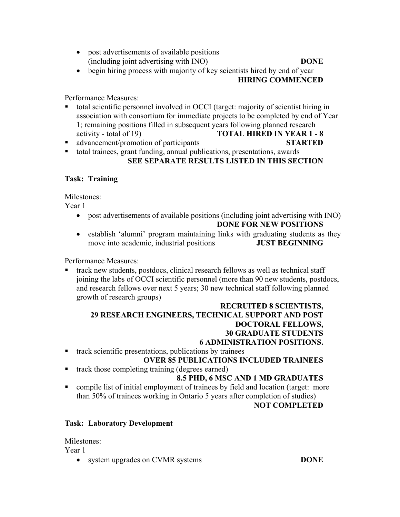- post advertisements of available positions (including joint advertising with INO) **DONE**
- begin hiring process with majority of key scientists hired by end of year  **HIRING COMMENCED**

Performance Measures:

- total scientific personnel involved in OCCI (target: majority of scientist hiring in association with consortium for immediate projects to be completed by end of Year 1; remaining positions filled in subsequent years following planned research activity - total of 19) **TOTAL HIRED IN YEAR 1 - 8**
- advancement/promotion of participants **STARTED**
- total trainees, grant funding, annual publications, presentations, awards

# **SEE SEPARATE RESULTS LISTED IN THIS SECTION**

# **Task: Training**

Milestones:

Year 1

- post advertisements of available positions (including joint advertising with INO)  **DONE FOR NEW POSITIONS**
- establish 'alumni' program maintaining links with graduating students as they move into academic, industrial positions **JUST BEGINNING**

Performance Measures:

 track new students, postdocs, clinical research fellows as well as technical staff joining the labs of OCCI scientific personnel (more than 90 new students, postdocs, and research fellows over next 5 years; 30 new technical staff following planned growth of research groups)

### **RECRUITED 8 SCIENTISTS, 29 RESEARCH ENGINEERS, TECHNICAL SUPPORT AND POST DOCTORAL FELLOWS, 30 GRADUATE STUDENTS 6 ADMINISTRATION POSITIONS.**

 $\blacksquare$  track scientific presentations, publications by trainees

# **OVER 85 PUBLICATIONS INCLUDED TRAINEES**

track those completing training (degrees earned)

# **8.5 PHD, 6 MSC AND 1 MD GRADUATES**

 compile list of initial employment of trainees by field and location (target: more than 50% of trainees working in Ontario 5 years after completion of studies)

# **NOT COMPLETED**

# **Task: Laboratory Development**

Milestones:

Year 1

• system upgrades on CVMR systems **DONE**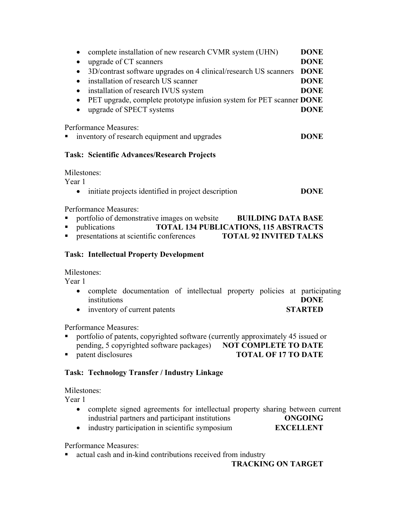| complete installation of new research CVMR system (UHN)<br>upgrade of CT scanners<br>$\bullet$<br>3D/contrast software upgrades on 4 clinical/research US scanners<br>$\bullet$<br>installation of research US scanner<br>$\bullet$<br>installation of research IVUS system<br>$\bullet$<br>PET upgrade, complete prototype infusion system for PET scanner DONE<br>$\bullet$<br>upgrade of SPECT systems<br>$\bullet$ | <b>DONE</b><br><b>DONE</b><br><b>DONE</b><br><b>DONE</b><br><b>DONE</b><br><b>DONE</b> |
|------------------------------------------------------------------------------------------------------------------------------------------------------------------------------------------------------------------------------------------------------------------------------------------------------------------------------------------------------------------------------------------------------------------------|----------------------------------------------------------------------------------------|
| Performance Measures:<br>inventory of research equipment and upgrades                                                                                                                                                                                                                                                                                                                                                  | <b>DONE</b>                                                                            |
| Task: Scientific Advances/Research Projects                                                                                                                                                                                                                                                                                                                                                                            |                                                                                        |
| Milestones:<br>Year 1<br>initiate projects identified in project description<br>$\bullet$                                                                                                                                                                                                                                                                                                                              | <b>DONE</b>                                                                            |
| Performance Measures:<br>portfolio of demonstrative images on website<br><b>BUILDING DATA BASE</b><br>Ξ<br><b>TOTAL 134 PUBLICATIONS, 115 ABSTRACTS</b><br>$\blacksquare$<br>publications<br>$\blacksquare$<br>presentations at scientific conferences<br><b>TOTAL 92 INVITED TALKS</b>                                                                                                                                |                                                                                        |
| <b>Task: Intellectual Property Development</b>                                                                                                                                                                                                                                                                                                                                                                         |                                                                                        |
| Milestones:<br>Year 1<br>complete documentation of intellectual property policies at participating<br>$\bullet$<br>institutions<br>inventory of current patents<br>$\bullet$                                                                                                                                                                                                                                           | <b>DONE</b><br><b>STARTED</b>                                                          |
| Performance Measures:<br>portfolio of patents, copyrighted software (currently approximately 45 issued or<br>$\mathbf{r}$<br>reading 5 convoided cofines reclaese) NOT COMBI ETE TO BATE                                                                                                                                                                                                                               |                                                                                        |

pending, 5 copyrighted software packages) **NOT COMPLETE TO DATE**<br>**Performance notative of 17 TO DATE TOTAL OF 17 TO DATE** 

# **Task: Technology Transfer / Industry Linkage**

Milestones:

Year 1

- complete signed agreements for intellectual property sharing between current industrial partners and participant institutions **ONGOING**
- industry participation in scientific symposium **EXCELLENT**

Performance Measures:

actual cash and in-kind contributions received from industry

 **TRACKING ON TARGET**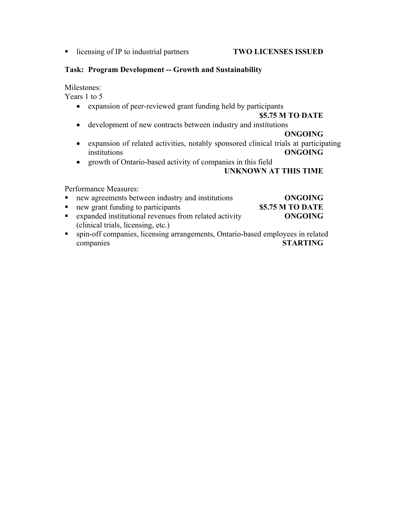**I** licensing of IP to industrial partners **TWO LICENSES ISSUED** 

### **Task: Program Development -- Growth and Sustainability**

Milestones:

Years 1 to 5

• expansion of peer-reviewed grant funding held by participants

### **\$5.75 M TO DATE**

• development of new contracts between industry and institutions

### **ONGOING**

- expansion of related activities, notably sponsored clinical trials at participating institutions **ONGOING**
- growth of Ontario-based activity of companies in this field

### **UNKNOWN AT THIS TIME**

Performance Measures:

| • new agreements between industry and institutions      | <b>ONGOING</b>   |
|---------------------------------------------------------|------------------|
| • new grant funding to participants                     | \$5.75 M TO DATE |
| • expanded institutional revenues from related activity | <b>ONGOING</b>   |
| (clinical trials, licensing, etc.)                      |                  |

 spin-off companies, licensing arrangements, Ontario-based employees in related companies **STARTING**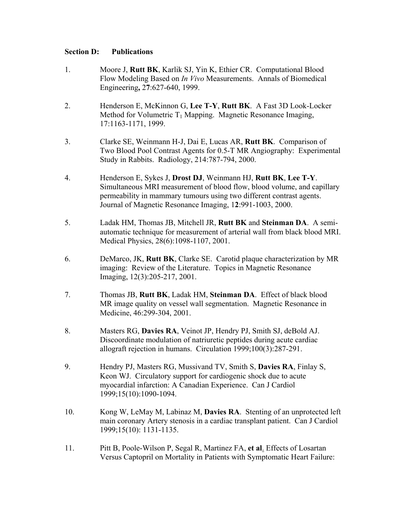### **Section D: Publications**

- 1. Moore J, **Rutt BK**, Karlik SJ, Yin K, Ethier CR. Computational Blood Flow Modeling Based on *In Vivo* Measurements. Annals of Biomedical Engineering**,** 2**7**:627-640, 1999.
- 2. Henderson E, McKinnon G, **Lee T-Y**, **Rutt BK**.A Fast 3D Look-Locker Method for Volumetric  $T_1$  Mapping. Magnetic Resonance Imaging, 17:1163-1171, 1999.
- 3. Clarke SE, Weinmann H-J, Dai E, Lucas AR, **Rutt BK**.Comparison of Two Blood Pool Contrast Agents for 0.5-T MR Angiography: Experimental Study in Rabbits. Radiology, 214:787-794, 2000.
- 4. Henderson E, Sykes J, **Drost DJ**, Weinmann HJ, **Rutt BK**, **Lee T-Y**. Simultaneous MRI measurement of blood flow, blood volume, and capillary permeability in mammary tumours using two different contrast agents. Journal of Magnetic Resonance Imaging, 1**2**:991-1003, 2000.
- 5. Ladak HM, Thomas JB, Mitchell JR, **Rutt BK** and **Steinman DA**. A semiautomatic technique for measurement of arterial wall from black blood MRI. Medical Physics, 28(6):1098-1107, 2001.
- 6. DeMarco, JK, **Rutt BK**, Clarke SE. Carotid plaque characterization by MR imaging: Review of the Literature. Topics in Magnetic Resonance Imaging, 12(3):205-217, 2001.
- 7. Thomas JB, **Rutt BK**, Ladak HM, **Steinman DA**. Effect of black blood MR image quality on vessel wall segmentation. Magnetic Resonance in Medicine, 46:299-304, 2001.
- 8. Masters RG, **Davies RA**, Veinot JP, Hendry PJ, Smith SJ, deBold AJ. Discoordinate modulation of natriuretic peptides during acute cardiac allograft rejection in humans. Circulation 1999;100(3):287-291.
- 9. Hendry PJ, Masters RG, Mussivand TV, Smith S, **Davies RA**, Finlay S, Keon WJ. Circulatory support for cardiogenic shock due to acute myocardial infarction: A Canadian Experience. Can J Cardiol 1999;15(10):1090-1094.
- 10. Kong W, LeMay M, Labinaz M, **Davies RA**. Stenting of an unprotected left main coronary Artery stenosis in a cardiac transplant patient. Can J Cardiol 1999;15(10): 1131-1135.
- 11. Pitt B, Poole-Wilson P, Segal R, Martinez FA, **et al**. Effects of Losartan Versus Captopril on Mortality in Patients with Symptomatic Heart Failure: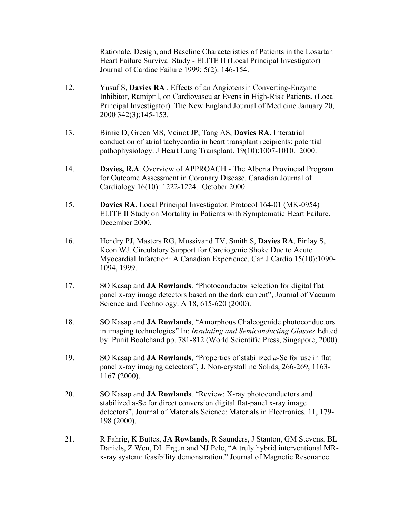Rationale, Design, and Baseline Characteristics of Patients in the Losartan Heart Failure Survival Study - ELITE II (Local Principal Investigator) Journal of Cardiac Failure 1999; 5(2): 146-154.

- 12. Yusuf S, **Davies RA** . Effects of an Angiotensin Converting-Enzyme Inhibitor, Ramipril, on Cardiovascular Evens in High-Risk Patients. (Local Principal Investigator). The New England Journal of Medicine January 20, 2000 342(3):145-153.
- 13. Birnie D, Green MS, Veinot JP, Tang AS, **Davies RA**. Interatrial conduction of atrial tachycardia in heart transplant recipients: potential pathophysiology. J Heart Lung Transplant. 19(10):1007-1010. 2000.
- 14. **Davies, R.A**. Overview of APPROACH The Alberta Provincial Program for Outcome Assessment in Coronary Disease. Canadian Journal of Cardiology 16(10): 1222-1224. October 2000.
- 15. **Davies RA.** Local Principal Investigator. Protocol 164-01 (MK-0954) ELITE II Study on Mortality in Patients with Symptomatic Heart Failure. December 2000.
- 16. Hendry PJ, Masters RG, Mussivand TV, Smith S, **Davies RA**, Finlay S, Keon WJ. Circulatory Support for Cardiogenic Shoke Due to Acute Myocardial Infarction: A Canadian Experience. Can J Cardio 15(10):1090- 1094, 1999.
- 17. SO Kasap and **JA Rowlands**. "Photoconductor selection for digital flat panel x-ray image detectors based on the dark current", Journal of Vacuum Science and Technology. A 18, 615-620 (2000).
- 18. SO Kasap and **JA Rowlands**, "Amorphous Chalcogenide photoconductors in imaging technologies" In: *Insulating and Semiconducting Glasses* Edited by: Punit Boolchand pp. 781-812 (World Scientific Press, Singapore, 2000).
- 19. SO Kasap and **JA Rowlands**, "Properties of stabilized *a*-Se for use in flat panel x-ray imaging detectors", J. Non-crystalline Solids, 266-269, 1163- 1167 (2000).
- 20. SO Kasap and **JA Rowlands**. "Review: X-ray photoconductors and stabilized a-Se for direct conversion digital flat-panel x-ray image detectors", Journal of Materials Science: Materials in Electronics. 11, 179- 198 (2000).
- 21. R Fahrig, K Buttes, **JA Rowlands**, R Saunders, J Stanton, GM Stevens, BL Daniels, Z Wen, DL Ergun and NJ Pelc, "A truly hybrid interventional MRx-ray system: feasibility demonstration." Journal of Magnetic Resonance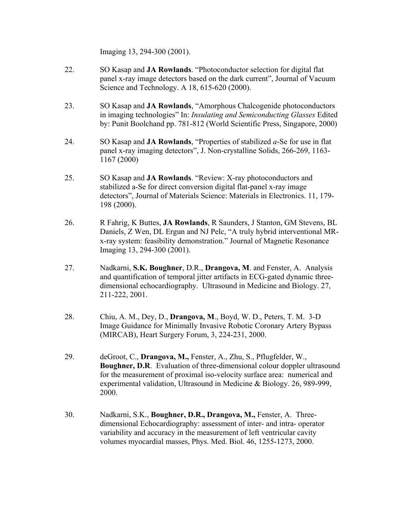Imaging 13, 294-300 (2001).

- 22. SO Kasap and **JA Rowlands**. "Photoconductor selection for digital flat panel x-ray image detectors based on the dark current", Journal of Vacuum Science and Technology. A 18, 615-620 (2000).
- 23. SO Kasap and **JA Rowlands**, "Amorphous Chalcogenide photoconductors in imaging technologies" In: *Insulating and Semiconducting Glasses* Edited by: Punit Boolchand pp. 781-812 (World Scientific Press, Singapore, 2000)
- 24. SO Kasap and **JA Rowlands**, "Properties of stabilized *a*-Se for use in flat panel x-ray imaging detectors", J. Non-crystalline Solids, 266-269, 1163- 1167 (2000)
- 25. SO Kasap and **JA Rowlands**. "Review: X-ray photoconductors and stabilized a-Se for direct conversion digital flat-panel x-ray image detectors", Journal of Materials Science: Materials in Electronics. 11, 179- 198 (2000).
- 26. R Fahrig, K Buttes, **JA Rowlands**, R Saunders, J Stanton, GM Stevens, BL Daniels, Z Wen, DL Ergun and NJ Pelc, "A truly hybrid interventional MRx-ray system: feasibility demonstration." Journal of Magnetic Resonance Imaging 13, 294-300 (2001).
- 27. Nadkarni, **S.K. Boughner**, D.R., **Drangova, M**. and Fenster, A. Analysis and quantification of temporal jitter artifacts in ECG-gated dynamic threedimensional echocardiography. Ultrasound in Medicine and Biology. 27, 211-222, 2001.
- 28. Chiu, A. M., Dey, D., **Drangova, M**., Boyd, W. D., Peters, T. M. 3-D Image Guidance for Minimally Invasive Robotic Coronary Artery Bypass (MIRCAB), Heart Surgery Forum, 3, 224-231, 2000.
- 29. deGroot, C., **Drangova, M.,** Fenster, A., Zhu, S., Pflugfelder, W., **Boughner, D.R**. Evaluation of three-dimensional colour doppler ultrasound for the measurement of proximal iso-velocity surface area: numerical and experimental validation, Ultrasound in Medicine & Biology. 26, 989-999, 2000.
- 30. Nadkarni, S.K., **Boughner, D.R., Drangova, M.,** Fenster, A. Threedimensional Echocardiography: assessment of inter- and intra- operator variability and accuracy in the measurement of left ventricular cavity volumes myocardial masses, Phys. Med. Biol. 46, 1255-1273, 2000.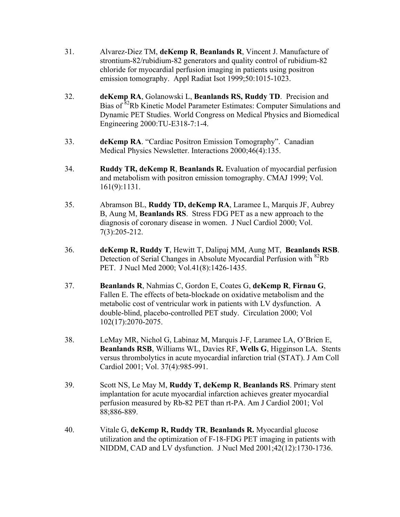- 31. Alvarez-Diez TM, **deKemp R**, **Beanlands R**, Vincent J. Manufacture of strontium-82/rubidium-82 generators and quality control of rubidium-82 chloride for myocardial perfusion imaging in patients using positron emission tomography. Appl Radiat Isot 1999;50:1015-1023.
- 32. **deKemp RA**, Golanowski L, **Beanlands RS, Ruddy TD**. Precision and Bias of 82Rb Kinetic Model Parameter Estimates: Computer Simulations and Dynamic PET Studies. World Congress on Medical Physics and Biomedical Engineering 2000:TU-E318-7:1-4.
- 33. **deKemp RA**. "Cardiac Positron Emission Tomography". Canadian Medical Physics Newsletter. Interactions 2000;46(4):135.
- 34. **Ruddy TR, deKemp R**, **Beanlands R.** Evaluation of myocardial perfusion and metabolism with positron emission tomography. CMAJ 1999; Vol. 161(9):1131.
- 35. Abramson BL, **Ruddy TD, deKemp RA**, Laramee L, Marquis JF, Aubrey B, Aung M, **Beanlands RS**. Stress FDG PET as a new approach to the diagnosis of coronary disease in women. J Nucl Cardiol 2000; Vol. 7(3):205-212.
- 36. **deKemp R, Ruddy T**, Hewitt T, Dalipaj MM, Aung MT, **Beanlands RSB**. Detection of Serial Changes in Absolute Myocardial Perfusion with <sup>82</sup>Rb PET. J Nucl Med 2000; Vol.41(8):1426-1435.
- 37. **Beanlands R**, Nahmias C, Gordon E, Coates G, **deKemp R**, **Firnau G**, Fallen E. The effects of beta-blockade on oxidative metabolism and the metabolic cost of ventricular work in patients with LV dysfunction. A double-blind, placebo-controlled PET study. Circulation 2000; Vol 102(17):2070-2075.
- 38. LeMay MR, Nichol G, Labinaz M, Marquis J-F, Laramee LA, O'Brien E, **Beanlands RSB**, Williams WL, Davies RF, **Wells G**, Higginson LA. Stents versus thrombolytics in acute myocardial infarction trial (STAT). J Am Coll Cardiol 2001; Vol. 37(4):985-991.
- 39. Scott NS, Le May M, **Ruddy T, deKemp R**, **Beanlands RS**. Primary stent implantation for acute myocardial infarction achieves greater myocardial perfusion measured by Rb-82 PET than rt-PA. Am J Cardiol 2001; Vol 88;886-889.
- 40. Vitale G, **deKemp R, Ruddy TR**, **Beanlands R.** Myocardial glucose utilization and the optimization of F-18-FDG PET imaging in patients with NIDDM, CAD and LV dysfunction. J Nucl Med 2001;42(12):1730-1736.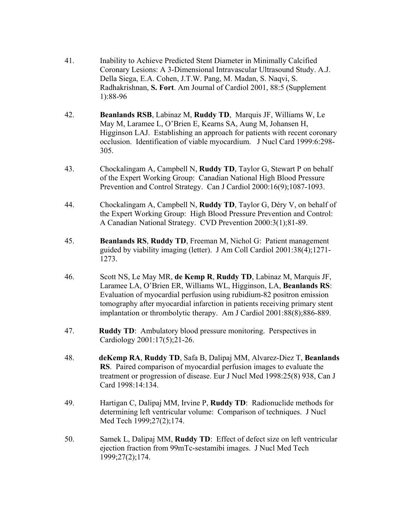- 41. Inability to Achieve Predicted Stent Diameter in Minimally Calcified Coronary Lesions: A 3-Dimensional Intravascular Ultrasound Study. A.J. Della Siega, E.A. Cohen, J.T.W. Pang, M. Madan, S. Naqvi, S. Radhakrishnan, **S. Fort**. Am Journal of Cardiol 2001, 88:5 (Supplement 1):88-96
- 42. **Beanlands RSB**, Labinaz M, **Ruddy TD**, Marquis JF, Williams W, Le May M, Laramee L, O'Brien E, Kearns SA, Aung M, Johansen H, Higginson LAJ. Establishing an approach for patients with recent coronary occlusion. Identification of viable myocardium. J Nucl Card 1999:6:298- 305.
- 43. Chockalingam A, Campbell N, **Ruddy TD**, Taylor G, Stewart P on behalf of the Expert Working Group: Canadian National High Blood Pressure Prevention and Control Strategy. Can J Cardiol 2000:16(9);1087-1093.
- 44. Chockalingam A, Campbell N, **Ruddy TD**, Taylor G, Déry V, on behalf of the Expert Working Group: High Blood Pressure Prevention and Control: A Canadian National Strategy. CVD Prevention 2000:3(1);81-89.
- 45. **Beanlands RS**, **Ruddy TD**, Freeman M, Nichol G: Patient management guided by viability imaging (letter). J Am Coll Cardiol 2001:38(4);1271- 1273.
- 46. Scott NS, Le May MR, **de Kemp R**, **Ruddy TD**, Labinaz M, Marquis JF, Laramee LA, O'Brien ER, Williams WL, Higginson, LA, **Beanlands RS**: Evaluation of myocardial perfusion using rubidium-82 positron emission tomography after myocardial infarction in patients receiving primary stent implantation or thrombolytic therapy. Am J Cardiol 2001:88(8);886-889.
- 47. **Ruddy TD**: Ambulatory blood pressure monitoring. Perspectives in Cardiology 2001:17(5);21-26.
- 48. **deKemp RA**, **Ruddy TD**, Safa B, Dalipaj MM, Alvarez-Diez T, **Beanlands RS**. Paired comparison of myocardial perfusion images to evaluate the treatment or progression of disease. Eur J Nucl Med 1998:25(8) 938, Can J Card 1998:14:134.
- 49. Hartigan C, Dalipaj MM, Irvine P, **Ruddy TD**: Radionuclide methods for determining left ventricular volume: Comparison of techniques. J Nucl Med Tech 1999;27(2);174.
- 50. Samek L, Dalipaj MM, **Ruddy TD**: Effect of defect size on left ventricular ejection fraction from 99mTc-sestamibi images. J Nucl Med Tech 1999;27(2);174.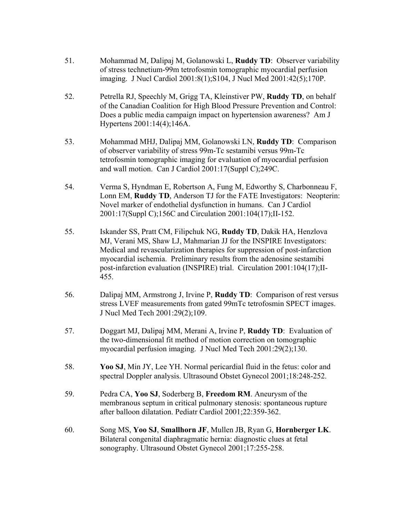- 51. Mohammad M, Dalipaj M, Golanowski L, **Ruddy TD**: Observer variability of stress technetium-99m tetrofosmin tomographic myocardial perfusion imaging. J Nucl Cardiol 2001:8(1);S104, J Nucl Med 2001:42(5);170P.
- 52. Petrella RJ, Speechly M, Grigg TA, Kleinstiver PW, **Ruddy TD**, on behalf of the Canadian Coalition for High Blood Pressure Prevention and Control: Does a public media campaign impact on hypertension awareness? Am J Hypertens 2001:14(4);146A.
- 53. Mohammad MHJ, Dalipaj MM, Golanowski LN, **Ruddy TD**: Comparison of observer variability of stress 99m-Tc sestamibi versus 99m-Tc tetrofosmin tomographic imaging for evaluation of myocardial perfusion and wall motion. Can J Cardiol 2001:17(Suppl C);249C.
- 54. Verma S, Hyndman E, Robertson A, Fung M, Edworthy S, Charbonneau F, Lonn EM, **Ruddy TD**, Anderson TJ for the FATE Investigators: Neopterin: Novel marker of endothelial dysfunction in humans. Can J Cardiol 2001:17(Suppl C);156C and Circulation 2001:104(17);II-152.
- 55. Iskander SS, Pratt CM, Filipchuk NG, **Ruddy TD**, Dakik HA, Henzlova MJ, Verani MS, Shaw LJ, Mahmarian JJ for the INSPIRE Investigators: Medical and revascularization therapies for suppression of post-infarction myocardial ischemia. Preliminary results from the adenosine sestamibi post-infarction evaluation (INSPIRE) trial. Circulation 2001:104(17);II-455.
- 56. Dalipaj MM, Armstrong J, Irvine P, **Ruddy TD**: Comparison of rest versus stress LVEF measurements from gated 99mTc tetrofosmin SPECT images. J Nucl Med Tech 2001:29(2);109.
- 57. Doggart MJ, Dalipaj MM, Merani A, Irvine P, **Ruddy TD**: Evaluation of the two-dimensional fit method of motion correction on tomographic myocardial perfusion imaging. J Nucl Med Tech 2001:29(2);130.
- 58. **Yoo SJ**, Min JY, Lee YH. Normal pericardial fluid in the fetus: color and spectral Doppler analysis. Ultrasound Obstet Gynecol 2001;18:248-252.
- 59. Pedra CA, **Yoo SJ**, Soderberg B, **Freedom RM**. Aneurysm of the membranous septum in critical pulmonary stenosis: spontaneous rupture after balloon dilatation. Pediatr Cardiol 2001;22:359-362.
- 60. Song MS, **Yoo SJ**, **Smallhorn JF**, Mullen JB, Ryan G, **Hornberger LK**. Bilateral congenital diaphragmatic hernia: diagnostic clues at fetal sonography. Ultrasound Obstet Gynecol 2001;17:255-258.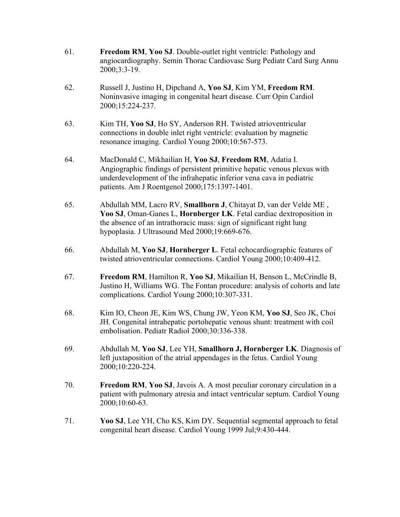- 61. **Freedom RM**, **Yoo SJ**. Double-outlet right ventricle: Pathology and angiocardiography. Semin Thorac Cardiovasc Surg Pediatr Card Surg Annu 2000;3:3-19.
- 62. Russell J, Justino H, Dipchand A, **Yoo SJ**, Kim YM, **Freedom RM**. Noninvasive imaging in congenital heart disease. Curr Opin Cardiol 2000;15:224-237.
- 63. Kim TH, **Yoo SJ**, Ho SY, Anderson RH. Twisted atrioventricular connections in double inlet right ventricle: evaluation by magnetic resonance imaging. Cardiol Young 2000;10:567-573.
- 64. MacDonald C, Mikhailian H, **Yoo SJ**, **Freedom RM**, Adatia I. Angiographic findings of persistent primitive hepatic venous plexus with underdevelopment of the infrahepatic inferior vena cava in pediatric patients. Am J Roentgenol 2000;175:1397-1401.
- 65. Abdullah MM, Lacro RV, **Smallhorn J**, Chitayat D, van der Velde ME , **Yoo SJ**, Oman-Ganes L, **Hornberger LK**. Fetal cardiac dextroposition in the absence of an intrathoracic mass: sign of significant right lung hypoplasia. J Ultrasound Med 2000;19:669-676.
- 66. Abdullah M, **Yoo SJ**, **Hornberger L**. Fetal echocardiographic features of twisted atrioventricular connections. Cardiol Young 2000;10:409-412.
- 67. **Freedom RM**, Hamilton R, **Yoo SJ**, Mikailian H, Benson L, McCrindle B, Justino H, Williams WG. The Fontan procedure: analysis of cohorts and late complications. Cardiol Young 2000;10:307-331.
- 68. Kim IO, Cheon JE, Kim WS, Chung JW, Yeon KM, **Yoo SJ**, Seo JK, Choi JH. Congenital intrahepatic portohepatic venous shunt: treatment with coil embolisation. Pediatr Radiol 2000;30:336-338.
- 69. Abdullah M, **Yoo SJ**, Lee YH, **Smallhorn J, Hornberger LK**. Diagnosis of left juxtaposition of the atrial appendages in the fetus. Cardiol Young 2000;10:220-224.
- 70. **Freedom RM**, **Yoo SJ**, Javois A. A most peculiar coronary circulation in a patient with pulmonary atresia and intact ventricular septum. Cardiol Young 2000;10:60-63.
- 71. **Yoo SJ**, Lee YH, Cho KS, Kim DY. Sequential segmental approach to fetal congenital heart disease. Cardiol Young 1999 Jul;9:430-444.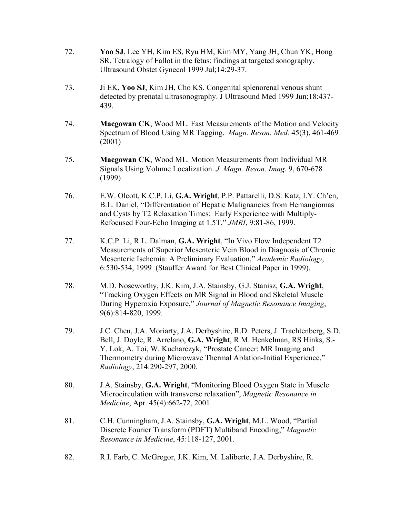- 72. **Yoo SJ**, Lee YH, Kim ES, Ryu HM, Kim MY, Yang JH, Chun YK, Hong SR. Tetralogy of Fallot in the fetus: findings at targeted sonography. Ultrasound Obstet Gynecol 1999 Jul;14:29-37.
- 73. Ji EK, **Yoo SJ**, Kim JH, Cho KS. Congenital splenorenal venous shunt detected by prenatal ultrasonography. J Ultrasound Med 1999 Jun;18:437- 439.
- 74. **Macgowan CK**, Wood ML. Fast Measurements of the Motion and Velocity Spectrum of Blood Using MR Tagging. *Magn. Reson. Med.* 45(3), 461-469 (2001)
- 75. **Macgowan CK**, Wood ML. Motion Measurements from Individual MR Signals Using Volume Localization. *J. Magn. Reson. Imag*. 9, 670-678 (1999)
- 76. E.W. Olcott, K.C.P. Li, **G.A. Wright**, P.P. Pattarelli, D.S. Katz, I.Y. Ch'en, B.L. Daniel, "Differentiation of Hepatic Malignancies from Hemangiomas and Cysts by T2 Relaxation Times: Early Experience with Multiply-Refocused Four-Echo Imaging at 1.5T," *JMRI*, 9:81-86, 1999.
- 77. K.C.P. Li, R.L. Dalman, **G.A. Wright**, "In Vivo Flow Independent T2 Measurements of Superior Mesenteric Vein Blood in Diagnosis of Chronic Mesenteric Ischemia: A Preliminary Evaluation," *Academic Radiology*, 6:530-534, 1999 (Stauffer Award for Best Clinical Paper in 1999).
- 78. M.D. Noseworthy, J.K. Kim, J.A. Stainsby, G.J. Stanisz, **G.A. Wright**, "Tracking Oxygen Effects on MR Signal in Blood and Skeletal Muscle During Hyperoxia Exposure," *Journal of Magnetic Resonance Imaging*, 9(6):814-820, 1999.
- 79. J.C. Chen, J.A. Moriarty, J.A. Derbyshire, R.D. Peters, J. Trachtenberg, S.D. Bell, J. Doyle, R. Arrelano, **G.A. Wright**, R.M. Henkelman, RS Hinks, S.- Y. Lok, A. Toi, W. Kucharczyk, "Prostate Cancer: MR Imaging and Thermometry during Microwave Thermal Ablation-Initial Experience," *Radiology*, 214:290-297, 2000.
- 80. J.A. Stainsby, **G.A. Wright**, "Monitoring Blood Oxygen State in Muscle Microcirculation with transverse relaxation", *Magnetic Resonance in Medicine*, Apr. 45(4):662-72, 2001.
- 81. C.H. Cunningham, J.A. Stainsby, **G.A. Wright**, M.L. Wood, "Partial Discrete Fourier Transform (PDFT) Multiband Encoding," *Magnetic Resonance in Medicine*, 45:118-127, 2001.
- 82. R.I. Farb, C. McGregor, J.K. Kim, M. Laliberte, J.A. Derbyshire, R.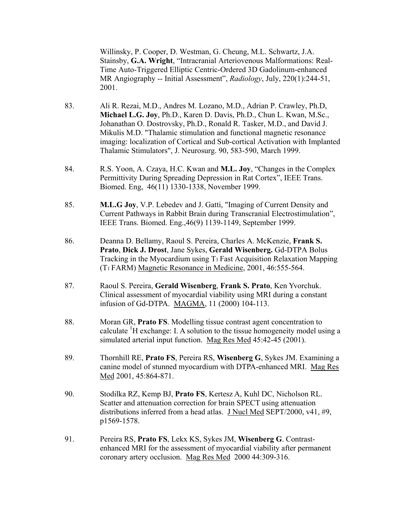Willinsky, P. Cooper, D. Westman, G. Cheung, M.L. Schwartz, J.A. Stainsby, **G.A. Wright**, "Intracranial Arteriovenous Malformations: Real-Time Auto-Triggered Elliptic Centric-Ordered 3D Gadolinum-enhanced MR Angiography -- Initial Assessment", *Radiology*, July, 220(1):244-51, 2001.

- 83. Ali R. Rezai, M.D., Andres M. Lozano, M.D., Adrian P. Crawley, Ph.D, **Michael L.G. Joy**, Ph.D., Karen D. Davis, Ph.D., Chun L. Kwan, M.Sc., Johanathan O. Dostrovsky, Ph.D., Ronald R. Tasker, M.D., and David J. Mikulis M.D. "Thalamic stimulation and functional magnetic resonance imaging: localization of Cortical and Sub-cortical Activation with Implanted Thalamic Stimulators", J. Neurosurg. 90, 583-590, March 1999.
- 84. R.S. Yoon, A. Czaya, H.C. Kwan and **M.L. Joy**, "Changes in the Complex Permittivity During Spreading Depression in Rat Cortex", IEEE Trans. Biomed. Eng, 46(11) 1330-1338, November 1999.
- 85. **M.L.G Joy**, V.P. Lebedev and J. Gatti, "Imaging of Current Density and Current Pathways in Rabbit Brain during Transcranial Electrostimulation", IEEE Trans. Biomed. Eng.,46(9) 1139-1149, September 1999.
- 86. Deanna D. Bellamy, Raoul S. Pereira, Charles A. McKenzie, **Frank S. Prato**, **Dick J. Drost**, Jane Sykes, **Gerald Wisenberg.** Gd-DTPA Bolus Tracking in the Myocardium using T1 Fast Acquisition Relaxation Mapping (T1 FARM) Magnetic Resonance in Medicine, 2001, 46:555-564.
- 87. Raoul S. Pereira, **Gerald Wisenberg**, **Frank S. Prato**, Ken Yvorchuk. Clinical assessment of myocardial viability using MRI during a constant infusion of Gd-DTPA. MAGMA, 11 (2000) 104-113.
- 88. Moran GR, **Prato FS**. Modelling tissue contrast agent concentration to calculate  ${}^{1}$ H exchange: I. A solution to the tissue homogeneity model using a simulated arterial input function. Mag Res Med 45:42-45 (2001).
- 89. Thornhill RE, **Prato FS**, Pereira RS, **Wisenberg G**, Sykes JM. Examining a canine model of stunned myocardium with DTPA-enhanced MRI. Mag Res Med 2001, 45:864-871.
- 90. Stodilka RZ, Kemp BJ, **Prato FS**, Kertesz A, Kuhl DC, Nicholson RL. Scatter and attenuation correction for brain SPECT using attenuation distributions inferred from a head atlas. J Nucl Med SEPT/2000, v41, #9, p1569-1578.
- 91. Pereira RS, **Prato FS**, Lekx KS, Sykes JM, **Wisenberg G**. Contrastenhanced MRI for the assessment of myocardial viability after permanent coronary artery occlusion. Mag Res Med 2000 44:309-316.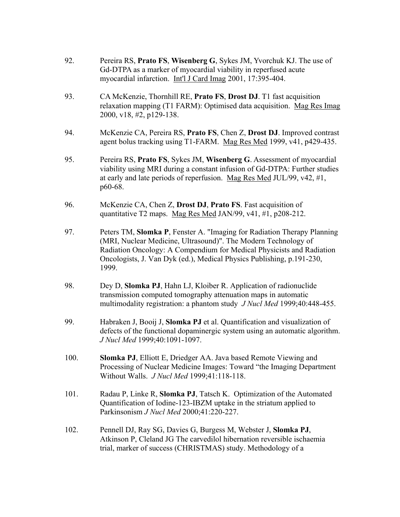- 92. Pereira RS, **Prato FS**, **Wisenberg G**, Sykes JM, Yvorchuk KJ. The use of Gd-DTPA as a marker of myocardial viability in reperfused acute myocardial infarction. Int'l J Card Imag 2001, 17:395-404.
- 93. CA McKenzie, Thornhill RE, **Prato FS**, **Drost DJ**. T1 fast acquisition relaxation mapping (T1 FARM): Optimised data acquisition. Mag Res Imag 2000, v18, #2, p129-138.
- 94. McKenzie CA, Pereira RS, **Prato FS**, Chen Z, **Drost DJ**. Improved contrast agent bolus tracking using T1-FARM. Mag Res Med 1999, v41, p429-435.
- 95. Pereira RS, **Prato FS**, Sykes JM, **Wisenberg G**. Assessment of myocardial viability using MRI during a constant infusion of Gd-DTPA: Further studies at early and late periods of reperfusion. Mag Res Med JUL/99, v42, #1, p60-68.
- 96. McKenzie CA, Chen Z, **Drost DJ**, **Prato FS**. Fast acquisition of quantitative T2 maps. Mag Res Med JAN/99, v41, #1, p208-212.
- 97. Peters TM, **Slomka P**, Fenster A. "Imaging for Radiation Therapy Planning (MRI, Nuclear Medicine, Ultrasound)". The Modern Technology of Radiation Oncology: A Compendium for Medical Physicists and Radiation Oncologists, J. Van Dyk (ed.), Medical Physics Publishing, p.191-230, 1999.
- 98. Dey D, **Slomka PJ**, Hahn LJ, Kloiber R. Application of radionuclide transmission computed tomography attenuation maps in automatic multimodality registration: a phantom study *J Nucl Med* 1999;40:448-455.
- 99. Habraken J, Booij J, **Slomka PJ** et al. Quantification and visualization of defects of the functional dopaminergic system using an automatic algorithm. *J Nucl Med* 1999;40:1091-1097.
- 100. **Slomka PJ**, Elliott E, Driedger AA. Java based Remote Viewing and Processing of Nuclear Medicine Images: Toward "the Imaging Department Without Walls. *J Nucl Med* 1999;41:118-118.
- 101. Radau P, Linke R, **Slomka PJ**, Tatsch K. Optimization of the Automated Quantification of Iodine-123-IBZM uptake in the striatum applied to Parkinsonism *J Nucl Med* 2000;41:220-227.
- 102. Pennell DJ, Ray SG, Davies G, Burgess M, Webster J, **Slomka PJ**, Atkinson P, Cleland JG The carvedilol hibernation reversible ischaemia trial, marker of success (CHRISTMAS) study. Methodology of a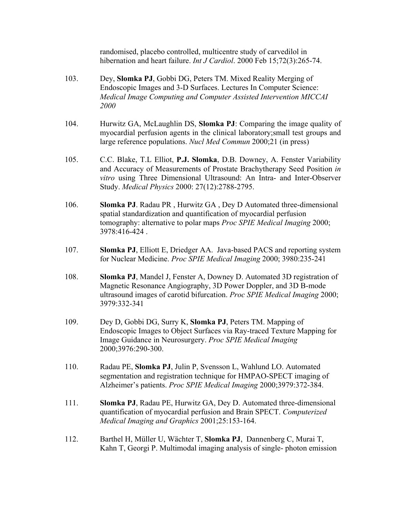randomised, placebo controlled, multicentre study of carvedilol in hibernation and heart failure. *Int J Cardiol*. 2000 Feb 15;72(3):265-74.

- 103. Dey, **Slomka PJ**, Gobbi DG, Peters TM. Mixed Reality Merging of Endoscopic Images and 3-D Surfaces. Lectures In Computer Science: *Medical Image Computing and Computer Assisted Intervention MICCAI 2000*
- 104. Hurwitz GA, McLaughlin DS, **Slomka PJ**: Comparing the image quality of myocardial perfusion agents in the clinical laboratory;small test groups and large reference populations. *Nucl Med Commun* 2000;21 (in press)
- 105. C.C. Blake, T.L Elliot, **P.J. Slomka**, D.B. Downey, A. Fenster Variability and Accuracy of Measurements of Prostate Brachytherapy Seed Position *in vitro* using Three Dimensional Ultrasound: An Intra- and Inter-Observer Study. *Medical Physics* 2000: 27(12):2788-2795.
- 106. **Slomka PJ**. Radau PR , Hurwitz GA , Dey D Automated three-dimensional spatial standardization and quantification of myocardial perfusion tomography: alternative to polar maps *Proc SPIE Medical Imaging* 2000; 3978:416-424 .
- 107. **Slomka PJ**, Elliott E, Driedger AA. Java-based PACS and reporting system for Nuclear Medicine. *Proc SPIE Medical Imaging* 2000; 3980:235-241
- 108. **Slomka PJ**, Mandel J, Fenster A, Downey D. Automated 3D registration of Magnetic Resonance Angiography, 3D Power Doppler, and 3D B-mode ultrasound images of carotid bifurcation. *Proc SPIE Medical Imaging* 2000; 3979:332-341
- 109. Dey D, Gobbi DG, Surry K, **Slomka PJ**, Peters TM. Mapping of Endoscopic Images to Object Surfaces via Ray-traced Texture Mapping for Image Guidance in Neurosurgery. *Proc SPIE Medical Imaging* 2000;3976:290-300.
- 110. Radau PE, **Slomka PJ**, Julin P, Svensson L, Wahlund LO. Automated segmentation and registration technique for HMPAO-SPECT imaging of Alzheimer's patients. *Proc SPIE Medical Imaging* 2000;3979:372-384.
- 111. **Slomka PJ**, Radau PE, Hurwitz GA, Dey D. Automated three-dimensional quantification of myocardial perfusion and Brain SPECT. *Computerized Medical Imaging and Graphics* 2001;25:153-164.
- 112. Barthel H, Müller U, Wächter T, **Slomka PJ**, Dannenberg C, Murai T, Kahn T, Georgi P. Multimodal imaging analysis of single- photon emission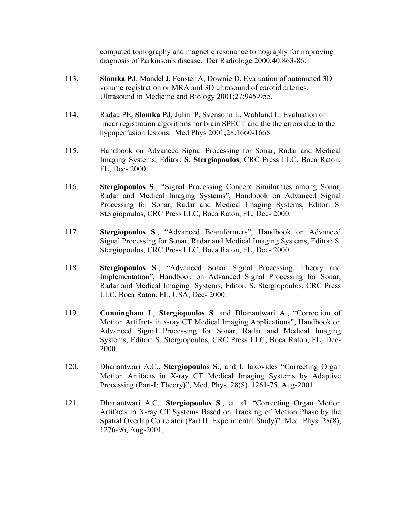computed tomography and magnetic resonance tomography for improving diagnosis of Parkinson's disease. Der Radiologe 2000;40:863-86.

- 113. **Slomka PJ**, Mandel J, Fenster A, Downie D. Evaluation of automated 3D volume registration or MRA and 3D ultrasound of carotid arteries. Ultrasound in Medicine and Biology 2001;27:945-955.
- 114. Radau PE, **Slomka PJ**, Julin P, Svensonn L, Wahlund L: Evaluation of linear registration algorithms for brain SPECT and the the errors due to the hypoperfusion lesions. Med Phys 2001;28:1660-1668.
- 115. Handbook on Advanced Signal Processing for Sonar, Radar and Medical Imaging Systems, Editor: **S. Stergiopoulos**, CRC Press LLC, Boca Raton, FL, Dec- 2000.
- 116. **Stergiopoulos S***.*, "Signal Processing Concept Similarities among Sonar, Radar and Medical Imaging Systems", Handbook on Advanced Signal Processing for Sonar, Radar and Medical Imaging Systems, Editor: S. Stergiopoulos, CRC Press LLC, Boca Raton, FL, Dec- 2000.
- 117. **Stergiopoulos S***.*, "Advanced Beamformers", Handbook on Advanced Signal Processing for Sonar, Radar and Medical Imaging Systems, Editor: S. Stergiopoulos, CRC Press LLC, Boca Raton, FL, Dec- 2000.
- 118. **Stergiopoulos S***.*, "Advanced Sonar Signal Processing, Theory and Implementation", Handbook on Advanced Signal Processing for Sonar, Radar and Medical Imaging Systems, Editor: S. Stergiopoulos, CRC Press LLC, Boca Raton, FL, USA, Dec- 2000.
- 119. **Cunningham I**., **Stergiopoulos S**. and Dhanantwari A*.*, "Correction of Motion Artifacts in x-ray CT Medical Imaging Applications", Handbook on Advanced Signal Processing for Sonar, Radar and Medical Imaging Systems, Editor: S. Stergiopoulos, CRC Press LLC, Boca Raton, FL, Dec-2000.
- 120. Dhanantwari A.C., **Stergiopoulos S**., and I. Iakovides "Correcting Organ Motion Artifacts in X-ray CT Medical Imaging Systems by Adaptive Processing (Part-I: Theory)", Med. Phys. 28(8), 1261-75, Aug-2001.
- 121. Dhanantwari A.C., **Stergiopoulos S**., et. al. "Correcting Organ Motion Artifacts in X-ray CT Systems Based on Tracking of Motion Phase by the Spatial Overlap Correlator (Part II: Experimental Study)", Med. Phys. 28(8), 1276-96, Aug-2001.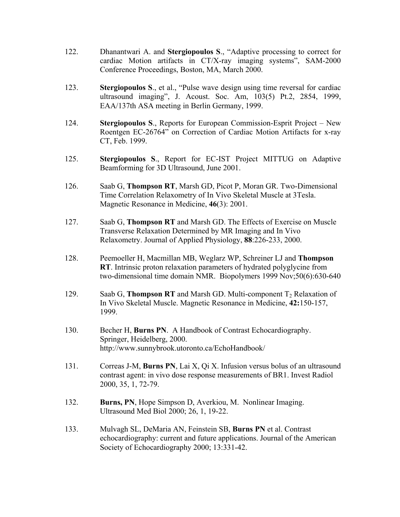- 122. Dhanantwari A. and **Stergiopoulos S**., "Adaptive processing to correct for cardiac Motion artifacts in CT/X-ray imaging systems", SAM-2000 Conference Proceedings, Boston, MA, March 2000.
- 123. **Stergiopoulos S**., et al., "Pulse wave design using time reversal for cardiac ultrasound imaging", J. Acoust. Soc. Am, 103(5) Pt.2, 2854, 1999, EAA/137th ASA meeting in Berlin Germany, 1999.
- 124. **Stergiopoulos S**., Reports for European Commission-Esprit Project New Roentgen EC-26764" on Correction of Cardiac Motion Artifacts for x-ray CT, Feb. 1999.
- 125. **Stergiopoulos S**., Report for EC-IST Project MITTUG on Adaptive Beamforming for 3D Ultrasound, June 2001.
- 126. Saab G, **Thompson RT**, Marsh GD, Picot P, Moran GR. Two-Dimensional Time Correlation Relaxometry of In Vivo Skeletal Muscle at 3Tesla. Magnetic Resonance in Medicine, **46**(3): 2001.
- 127. Saab G, **Thompson RT** and Marsh GD. The Effects of Exercise on Muscle Transverse Relaxation Determined by MR Imaging and In Vivo Relaxometry. Journal of Applied Physiology, **88**:226-233, 2000.
- 128. Peemoeller H, Macmillan MB, Weglarz WP, Schreiner LJ and **Thompson RT**. Intrinsic proton relaxation parameters of hydrated polyglycine from two-dimensional time domain NMR. Biopolymers 1999 Nov;50(6):630-640
- 129. Saab G, **Thompson RT** and Marsh GD. Multi-component T<sub>2</sub> Relaxation of In Vivo Skeletal Muscle. Magnetic Resonance in Medicine, **42:**150-157, 1999.
- 130. Becher H, **Burns PN**. A Handbook of Contrast Echocardiography. Springer, Heidelberg, 2000. http://www.sunnybrook.utoronto.ca/EchoHandbook/
- 131. Correas J-M, **Burns PN**, Lai X, Qi X. Infusion versus bolus of an ultrasound contrast agent: in vivo dose response measurements of BR1. Invest Radiol 2000, 35, 1, 72-79.
- 132. **Burns, PN**, Hope Simpson D, Averkiou, M. Nonlinear Imaging. Ultrasound Med Biol 2000; 26, 1, 19-22.
- 133. Mulvagh SL, DeMaria AN, Feinstein SB, **Burns PN** et al. Contrast echocardiography: current and future applications. Journal of the American Society of Echocardiography 2000; 13:331-42.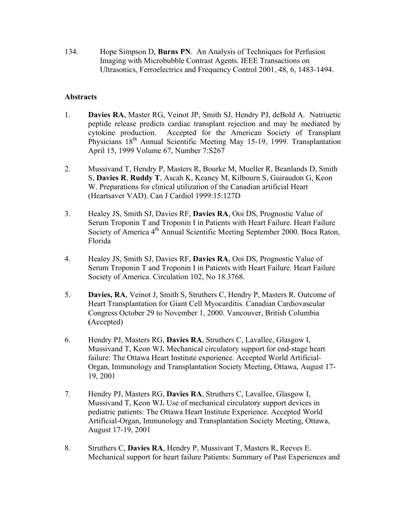134. Hope Simpson D, **Burns PN**. An Analysis of Techniques for Perfusion Imaging with Microbubble Contrast Agents. IEEE Transactions on Ultrasonics, Ferroelectrics and Frequency Control 2001, 48, 6, 1483-1494.

### **Abstracts**

- 1. **Davies RA**, Master RG, Veinot JP, Smith SJ, Hendry PJ, deBold A. Natriuetic peptide release predicts cardiac transplant rejection and may be mediated by cytokine production. Accepted for the American Society of Transplant Physicians 18<sup>th</sup> Annual Scientific Meeting May 15-19, 1999. Transplantation April 15, 1999 Volume 67, Number 7:S267
- 2. Mussivand T, Hendry P, Masters R, Bourke M, Mueller R, Beanlands D, Smith S, **Davies R**, **Ruddy T**, Ascah K, Keaney M, Kilbourn S, Guiraudon G, Keon W. Preparations for clinical utilization of the Canadian artificial Heart (Heartsaver VAD). Can J Cardiol 1999:15:127D
- 3. Healey JS, Smith SJ, Davies RF, **Davies RA**, Ooi DS, Prognostic Value of Serum Troponin T and Troponin I in Patients with Heart Failure. Heart Failure Society of America 4<sup>th</sup> Annual Scientific Meeting September 2000. Boca Raton, Florida
- 4. Healey JS, Smith SJ, Davies RF, **Davies RA**, Ooi DS, Prognostic Value of Serum Troponin T and Troponin I in Patients with Heart Failure. Heart Failure Society of America. Circulation 102, No 18.3768.
- 5. **Davies, RA**, Veinot J, Smith S, Struthers C, Hendry P, Masters R. Outcome of Heart Transplantation for Giant Cell Myocarditis. Canadian Cardiovascular Congress October 29 to November 1, 2000. Vancouver, British Columbia **(**Accepted)
- 6. Hendry PJ, Masters RG, **Davies RA**, Struthers C, Lavallee, Glasgow I, Mussivand T, Keon WJ**.** Mechanical circulatory support for end-stage heart failure: The Ottawa Heart Institute experience. Accepted World Artificial-Organ, Immunology and Transplantation Society Meeting, Ottawa, August 17- 19, 2001
- 7. Hendry PJ, Masters RG, **Davies RA**, Struthers C, Lavallee, Glasgow I, Mussivand T, Keon WJ**.** Use of mechanical circulatory support devices in pediatric patients: The Ottawa Heart Institute Experience. Accepted World Artificial-Organ, Immunology and Transplantation Society Meeting, Ottawa, August 17-19, 2001
- 8. Struthers C, **Davies RA**, Hendry P, Mussivant T, Masters R, Reeves E. Mechanical support for heart failure Patients: Summary of Past Experiences and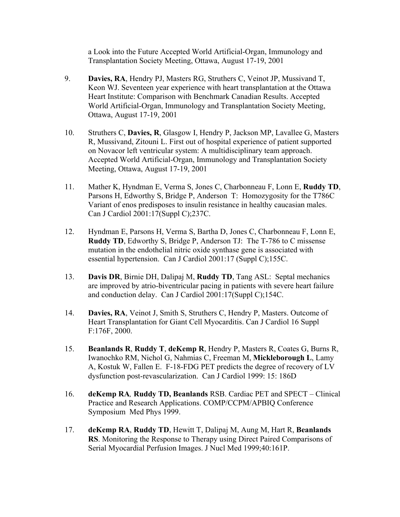a Look into the Future Accepted World Artificial-Organ, Immunology and Transplantation Society Meeting, Ottawa, August 17-19, 2001

- 9. **Davies, RA**, Hendry PJ, Masters RG, Struthers C, Veinot JP, Mussivand T, Keon WJ. Seventeen year experience with heart transplantation at the Ottawa Heart Institute: Comparison with Benchmark Canadian Results. Accepted World Artificial-Organ, Immunology and Transplantation Society Meeting, Ottawa, August 17-19, 2001
- 10. Struthers C, **Davies, R**, Glasgow I, Hendry P, Jackson MP, Lavallee G, Masters R, Mussivand, Zitouni L. First out of hospital experience of patient supported on Novacor left ventricular system: A multidisciplinary team approach. Accepted World Artificial-Organ, Immunology and Transplantation Society Meeting, Ottawa, August 17-19, 2001
- 11. Mather K, Hyndman E, Verma S, Jones C, Charbonneau F, Lonn E, **Ruddy TD**, Parsons H, Edworthy S, Bridge P, Anderson T: Homozygosity for the T786C Variant of enos predisposes to insulin resistance in healthy caucasian males. Can J Cardiol 2001:17(Suppl C);237C.
- 12. Hyndman E, Parsons H, Verma S, Bartha D, Jones C, Charbonneau F, Lonn E, **Ruddy TD**, Edworthy S, Bridge P, Anderson TJ: The T-786 to C missense mutation in the endothelial nitric oxide synthase gene is associated with essential hypertension. Can J Cardiol 2001:17 (Suppl C);155C.
- 13. **Davis DR**, Birnie DH, Dalipaj M, **Ruddy TD**, Tang ASL: Septal mechanics are improved by atrio-biventricular pacing in patients with severe heart failure and conduction delay. Can J Cardiol 2001:17(Suppl C);154C.
- 14. **Davies, RA**, Veinot J, Smith S, Struthers C, Hendry P, Masters. Outcome of Heart Transplantation for Giant Cell Myocarditis. Can J Cardiol 16 Suppl F:176F, 2000.
- 15. **Beanlands R**, **Ruddy T**, **deKemp R**, Hendry P, Masters R, Coates G, Burns R, Iwanochko RM, Nichol G, Nahmias C, Freeman M, **Mickleborough L**, Lamy A, Kostuk W, Fallen E. F-18-FDG PET predicts the degree of recovery of LV dysfunction post-revascularization. Can J Cardiol 1999: 15: 186D
- 16. **deKemp RA***,* **Ruddy TD, Beanlands** RSB. Cardiac PET and SPECT Clinical Practice and Research Applications. COMP/CCPM/APBIQ Conference Symposium Med Phys 1999.
- 17. **deKemp RA**, **Ruddy TD**, Hewitt T, Dalipaj M, Aung M, Hart R, **Beanlands RS**. Monitoring the Response to Therapy using Direct Paired Comparisons of Serial Myocardial Perfusion Images. J Nucl Med 1999;40:161P.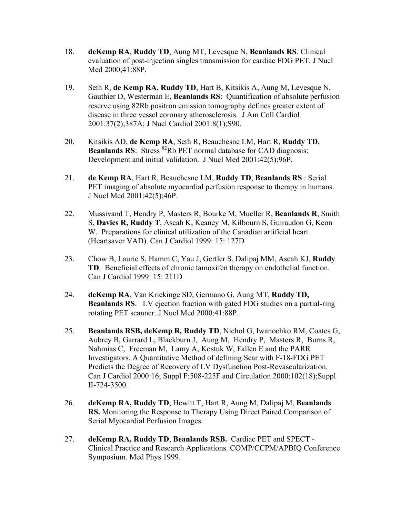- 18. **deKemp RA**, **Ruddy TD**, Aung MT, Levesque N, **Beanlands RS**. Clinical evaluation of post-injection singles transmission for cardiac FDG PET. J Nucl Med 2000;41:88P.
- 19. Seth R, **de Kemp RA**, **Ruddy TD**, Hart B, Kitsikis A, Aung M, Levesque N, Gauthier D, Westerman E, **Beanlands RS**: Quantification of absolute perfusion reserve using 82Rb positron emission tomography defines greater extent of disease in three vessel coronary atherosclerosis. J Am Coll Cardiol 2001:37(2);387A; J Nucl Cardiol 2001:8(1);S90.
- 20. Kitsikis AD, **de Kemp RA**, Seth R, Beauchesne LM, Hart R, **Ruddy TD**, **Beanlands RS**: Stress <sup>82</sup>Rb PET normal database for CAD diagnosis: Development and initial validation. J Nucl Med 2001:42(5);96P.
- 21. **de Kemp RA**, Hart R, Beauchesne LM, **Ruddy TD**, **Beanlands RS** : Serial PET imaging of absolute myocardial perfusion response to therapy in humans. J Nucl Med 2001:42(5);46P.
- 22. Mussivand T, Hendry P, Masters R, Bourke M, Mueller R, **Beanlands R**, Smith S, **Davies R, Ruddy T**, Ascah K, Keaney M, Kilbourn S, Guiraudon G, Keon W. Preparations for clinical utilization of the Canadian artificial heart (Heartsaver VAD). Can J Cardiol 1999: 15: 127D
- 23. Chow B, Laurie S, Hamm C, Yau J, Gertler S, Dalipaj MM, Ascah KJ, **Ruddy TD**. Beneficial effects of chronic tamoxifen therapy on endothelial function. Can J Cardiol 1999: 15: 211D
- 24. **deKemp RA**, Van Kriekinge SD, Germano G, Aung MT, **Ruddy TD, Beanlands RS**. LV ejection fraction with gated FDG studies on a partial-ring rotating PET scanner. J Nucl Med 2000;41:88P.
- 25. **Beanlands RSB, deKemp R***,* **Ruddy TD**, Nichol G, Iwanochko RM, Coates G, Aubrey B, Garrard L, Blackburn J, Aung M, Hendry P, Masters R, Burns R, Nahmias C, Freeman M, Lamy A, Kostuk W, Fallen E and the PARR Investigators. A Quantitative Method of defining Scar with F-18-FDG PET Predicts the Degree of Recovery of LV Dysfunction Post-Revascularization. Can J Cardiol 2000:16; Suppl F:508-225F and Circulation 2000:102(18);Suppl II-724-3500.
- 26. **deKemp RA, Ruddy TD**, Hewitt T, Hart R, Aung M, Dalipaj M, **Beanlands RS.** Monitoring the Response to Therapy Using Direct Paired Comparison of Serial Myocardial Perfusion Images.
- 27. **deKemp RA, Ruddy TD**, **Beanlands RSB.** Cardiac PET and SPECT Clinical Practice and Research Applications. COMP/CCPM/APBIQ Conference Symposium. Med Phys 1999.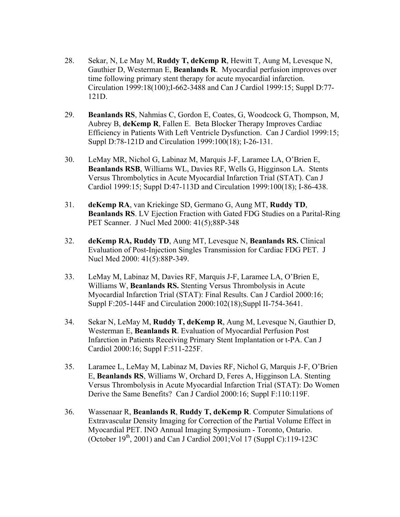- 28. Sekar, N, Le May M, **Ruddy T, deKemp R**, Hewitt T, Aung M, Levesque N, Gauthier D, Westerman E, **Beanlands R**. Myocardial perfusion improves over time following primary stent therapy for acute myocardial infarction. Circulation 1999:18(100);I-662-3488 and Can J Cardiol 1999:15; Suppl D:77- 121D.
- 29. **Beanlands RS**, Nahmias C, Gordon E, Coates, G, Woodcock G, Thompson, M, Aubrey B, **deKemp R**, Fallen E. Beta Blocker Therapy Improves Cardiac Efficiency in Patients With Left Ventricle Dysfunction. Can J Cardiol 1999:15; Suppl D:78-121D and Circulation 1999:100(18); I-26-131.
- 30. LeMay MR, Nichol G, Labinaz M, Marquis J-F, Laramee LA, O'Brien E, **Beanlands RSB**, Williams WL, Davies RF, Wells G, Higginson LA. Stents Versus Thrombolytics in Acute Myocardial Infarction Trial (STAT). Can J Cardiol 1999:15; Suppl D:47-113D and Circulation 1999:100(18); I-86-438.
- 31. **deKemp RA**, van Kriekinge SD, Germano G, Aung MT, **Ruddy TD**, **Beanlands RS**. LV Ejection Fraction with Gated FDG Studies on a Parital-Ring PET Scanner. J Nucl Med 2000: 41(5);88P-348
- 32. **deKemp RA, Ruddy TD**, Aung MT, Levesque N, **Beanlands RS.** Clinical Evaluation of Post-Injection Singles Transmission for Cardiac FDG PET. J Nucl Med 2000: 41(5):88P-349.
- 33. LeMay M, Labinaz M, Davies RF, Marquis J-F, Laramee LA, O'Brien E, Williams W, **Beanlands RS.** Stenting Versus Thrombolysis in Acute Myocardial Infarction Trial (STAT): Final Results. Can J Cardiol 2000:16; Suppl F:205-144F and Circulation 2000:102(18);Suppl II-754-3641.
- 34. Sekar N, LeMay M, **Ruddy T, deKemp R**, Aung M, Levesque N, Gauthier D, Westerman E, **Beanlands R**. Evaluation of Myocardial Perfusion Post Infarction in Patients Receiving Primary Stent Implantation or t-PA. Can J Cardiol 2000:16; Suppl F:511-225F.
- 35. Laramee L, LeMay M, Labinaz M, Davies RF, Nichol G, Marquis J-F, O'Brien E, **Beanlands RS**, Williams W, Orchard D, Feres A, Higginson LA. Stenting Versus Thrombolysis in Acute Myocardial Infarction Trial (STAT): Do Women Derive the Same Benefits? Can J Cardiol 2000:16; Suppl F:110:119F.
- 36. Wassenaar R, **Beanlands R**, **Ruddy T, deKemp R**. Computer Simulations of Extravascular Density Imaging for Correction of the Partial Volume Effect in Myocardial PET. INO Annual Imaging Symposium - Toronto, Ontario. (October  $19^{th}$ , 2001) and Can J Cardiol 2001; Vol 17 (Suppl C): 119-123C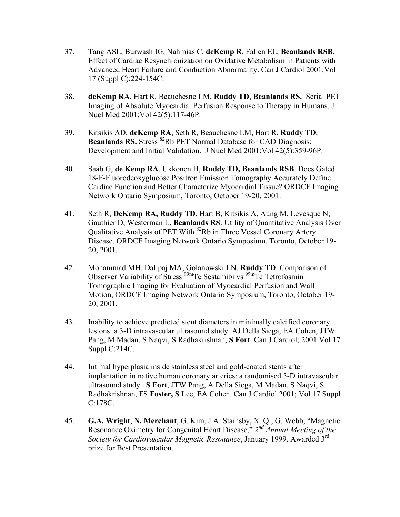- 37. Tang ASL, Burwash IG, Nahmias C, **deKemp R**, Fallen EL, **Beanlands RSB.** Effect of Cardiac Resynchronization on Oxidative Metabolism in Patients with Advanced Heart Failure and Conduction Abnormality. Can J Cardiol 2001;Vol 17 (Suppl C);224-154C.
- 38. **deKemp RA**, Hart R, Beauchesne LM, **Ruddy TD**, **Beanlands RS.** Serial PET Imaging of Absolute Myocardial Perfusion Response to Therapy in Humans. J Nucl Med 2001;Vol 42(5):117-46P.
- 39. Kitsikis AD, **deKemp RA**, Seth R, Beauchesne LM, Hart R, **Ruddy TD**, **Beanlands RS.** Stress <sup>82</sup>Rb PET Normal Database for CAD Diagnosis: Development and Initial Validation. J Nucl Med 2001;Vol 42(5):359-96P.
- 40. Saab G, **de Kemp RA**, Ukkonen H, **Ruddy TD, Beanlands RSB**. Does Gated 18-F-Fluorodeoxyglucose Positron Emission Tomography Accurately Define Cardiac Function and Better Characterize Myocardial Tissue? ORDCF Imaging Network Ontario Symposium, Toronto, October 19-20, 2001.
- 41. Seth R, **DeKemp RA, Ruddy TD**, Hart B, Kitsikis A, Aung M, Levesque N, Gauthier D, Westerman L, **Beanlands RS**. Utility of Quantitative Analysis Over Qualitative Analysis of PET With <sup>82</sup>Rb in Three Vessel Coronary Artery Disease, ORDCF Imaging Network Ontario Symposium, Toronto, October 19- 20, 2001.
- 42. Mohammad MH, Dalipaj MA, Golanowski LN, **Ruddy TD**. Comparison of Observer Variability of Stress  $\frac{99m}{Tc}$  Sestamibi vs  $\frac{99m}{Tc}$  Tetrofosmin Tomographic Imaging for Evaluation of Myocardial Perfusion and Wall Motion, ORDCF Imaging Network Ontario Symposium, Toronto, October 19- 20, 2001.
- 43. Inability to achieve predicted stent diameters in minimally calcified coronary lesions: a 3-D intravascular ultrasound study. AJ Della Siega, EA Cohen, JTW Pang, M Madan, S Naqvi, S Radhakrishnan, **S Fort**. Can J Cardiol; 2001 Vol 17 Suppl C:214C.
- 44. Intimal hyperplasia inside stainless steel and gold-coated stents after implantation in native human coronary arteries: a randomised 3-D intravascular ultrasound study. **S Fort**, JTW Pang, A Della Siega, M Madan, S Naqvi, S Radhakrishnan, FS **Foster, S** Lee, EA Cohen. Can J Cardiol 2001; Vol 17 Suppl C:178C.
- 45. **G.A. Wright**, **N. Merchant**, G. Kim, J.A. Stainsby, X. Qi, G. Webb, "Magnetic Resonance Oximetry for Congenital Heart Disease," *2nd Annual Meeting of the Society for Cardiovascular Magnetic Resonance*, January 1999. Awarded 3rd prize for Best Presentation.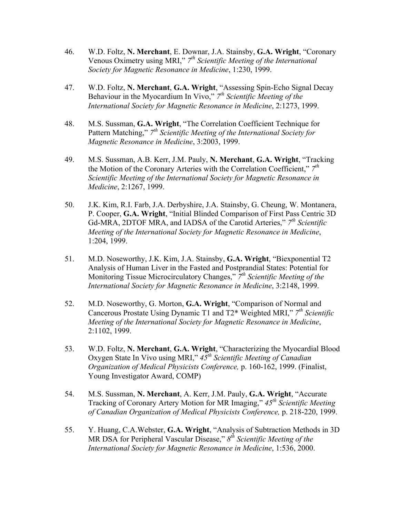- 46. W.D. Foltz, **N. Merchant**, E. Downar, J.A. Stainsby, **G.A. Wright**, "Coronary Venous Oximetry using MRI," *7th Scientific Meeting of the International Society for Magnetic Resonance in Medicine*, 1:230, 1999.
- 47. W.D. Foltz, **N. Merchant**, **G.A. Wright**, "Assessing Spin-Echo Signal Decay Behaviour in the Myocardium In Vivo," *7th Scientific Meeting of the International Society for Magnetic Resonance in Medicine*, 2:1273, 1999.
- 48. M.S. Sussman, **G.A. Wright**, "The Correlation Coefficient Technique for Pattern Matching," *7th Scientific Meeting of the International Society for Magnetic Resonance in Medicine*, 3:2003, 1999.
- 49. M.S. Sussman, A.B. Kerr, J.M. Pauly, **N. Merchant**, **G.A. Wright**, "Tracking the Motion of the Coronary Arteries with the Correlation Coefficient," *7th Scientific Meeting of the International Society for Magnetic Resonance in Medicine*, 2:1267, 1999.
- 50. J.K. Kim, R.I. Farb, J.A. Derbyshire, J.A. Stainsby, G. Cheung, W. Montanera, P. Cooper, **G.A. Wright**, "Initial Blinded Comparison of First Pass Centric 3D Gd-MRA, 2DTOF MRA, and IADSA of the Carotid Arteries," *7th Scientific Meeting of the International Society for Magnetic Resonance in Medicine*, 1:204, 1999.
- 51. M.D. Noseworthy, J.K. Kim, J.A. Stainsby, **G.A. Wright**, "Biexponential T2 Analysis of Human Liver in the Fasted and Postprandial States: Potential for Monitoring Tissue Microcirculatory Changes," *7th Scientific Meeting of the International Society for Magnetic Resonance in Medicine*, 3:2148, 1999.
- 52. M.D. Noseworthy, G. Morton, **G.A. Wright**, "Comparison of Normal and Cancerous Prostate Using Dynamic T1 and T2\* Weighted MRI," *7th Scientific Meeting of the International Society for Magnetic Resonance in Medicine*, 2:1102, 1999.
- 53. W.D. Foltz, **N. Merchant**, **G.A. Wright**, "Characterizing the Myocardial Blood Oxygen State In Vivo using MRI," *45th Scientific Meeting of Canadian Organization of Medical Physicists Conference,* p. 160-162, 1999. (Finalist, Young Investigator Award, COMP)
- 54. M.S. Sussman, **N. Merchant**, A. Kerr, J.M. Pauly, **G.A. Wright**, "Accurate Tracking of Coronary Artery Motion for MR Imaging," *45th Scientific Meeting of Canadian Organization of Medical Physicists Conference,* p. 218-220, 1999.
- 55. Y. Huang, C.A.Webster, **G.A. Wright**, "Analysis of Subtraction Methods in 3D MR DSA for Peripheral Vascular Disease," *8th Scientific Meeting of the International Society for Magnetic Resonance in Medicine*, 1:536, 2000.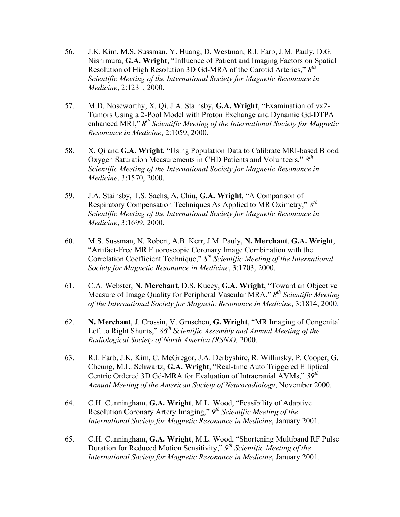- 56. J.K. Kim, M.S. Sussman, Y. Huang, D. Westman, R.I. Farb, J.M. Pauly, D.G. Nishimura, **G.A. Wright**, "Influence of Patient and Imaging Factors on Spatial Resolution of High Resolution 3D Gd-MRA of the Carotid Arteries," *8th Scientific Meeting of the International Society for Magnetic Resonance in Medicine*, 2:1231, 2000.
- 57. M.D. Noseworthy, X. Qi, J.A. Stainsby, **G.A. Wright**, "Examination of vx2- Tumors Using a 2-Pool Model with Proton Exchange and Dynamic Gd-DTPA enhanced MRI," *8th Scientific Meeting of the International Society for Magnetic Resonance in Medicine*, 2:1059, 2000.
- 58. X. Qi and **G.A. Wright**, "Using Population Data to Calibrate MRI-based Blood Oxygen Saturation Measurements in CHD Patients and Volunteers," *8th Scientific Meeting of the International Society for Magnetic Resonance in Medicine*, 3:1570, 2000.
- 59. J.A. Stainsby, T.S. Sachs, A. Chiu, **G.A. Wright**, "A Comparison of Respiratory Compensation Techniques As Applied to MR Oximetry," *8th Scientific Meeting of the International Society for Magnetic Resonance in Medicine*, 3:1699, 2000.
- 60. M.S. Sussman, N. Robert, A.B. Kerr, J.M. Pauly, **N. Merchant**, **G.A. Wright**, "Artifact-Free MR Fluoroscopic Coronary Image Combination with the Correlation Coefficient Technique," *8th Scientific Meeting of the International Society for Magnetic Resonance in Medicine*, 3:1703, 2000.
- 61. C.A. Webster, **N. Merchant**, D.S. Kucey, **G.A. Wright**, "Toward an Objective Measure of Image Quality for Peripheral Vascular MRA," *8th Scientific Meeting of the International Society for Magnetic Resonance in Medicine*, 3:1814, 2000.
- 62. **N. Merchant**, J. Crossin, V. Gruschen, **G. Wright**, "MR Imaging of Congenital Left to Right Shunts," 86<sup>th</sup> Scientific Assembly and Annual Meeting of the *Radiological Society of North America (RSNA),* 2000.
- 63. R.I. Farb, J.K. Kim, C. McGregor, J.A. Derbyshire, R. Willinsky, P. Cooper, G. Cheung, M.L. Schwartz, **G.A. Wright**, "Real-time Auto Triggered Elliptical Centric Ordered 3D Gd-MRA for Evaluation of Intracranial AVMs," *39th Annual Meeting of the American Society of Neuroradiology*, November 2000.
- 64. C.H. Cunningham, **G.A. Wright**, M.L. Wood, "Feasibility of Adaptive Resolution Coronary Artery Imaging," *9th Scientific Meeting of the International Society for Magnetic Resonance in Medicine*, January 2001.
- 65. C.H. Cunningham, **G.A. Wright**, M.L. Wood, "Shortening Multiband RF Pulse Duration for Reduced Motion Sensitivity," *9th Scientific Meeting of the International Society for Magnetic Resonance in Medicine*, January 2001.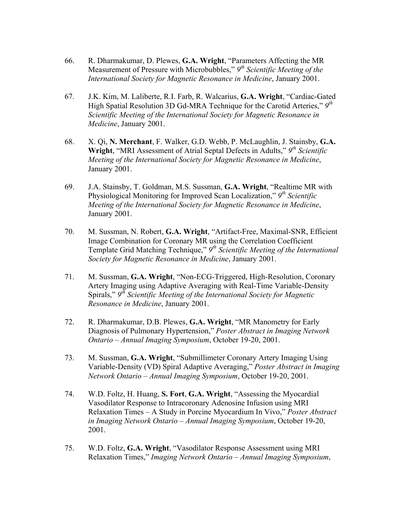- 66. R. Dharmakumar, D. Plewes, **G.A. Wright**, "Parameters Affecting the MR Measurement of Pressure with Microbubbles," *9th Scientific Meeting of the International Society for Magnetic Resonance in Medicine*, January 2001.
- 67. J.K. Kim, M. Laliberte, R.I. Farb, R. Walcarius, **G.A. Wright**, "Cardiac-Gated High Spatial Resolution 3D Gd-MRA Technique for the Carotid Arteries," *9th Scientific Meeting of the International Society for Magnetic Resonance in Medicine*, January 2001.
- 68. X. Qi, **N. Merchant**, F. Walker, G.D. Webb, P. McLaughlin, J. Stainsby, **G.A. Wright**, "MRI Assessment of Atrial Septal Defects in Adults," *9th Scientific Meeting of the International Society for Magnetic Resonance in Medicine*, January 2001.
- 69. J.A. Stainsby, T. Goldman, M.S. Sussman, **G.A. Wright**, "Realtime MR with Physiological Monitoring for Improved Scan Localization," *9th Scientific Meeting of the International Society for Magnetic Resonance in Medicine*, January 2001.
- 70. M. Sussman, N. Robert, **G.A. Wright**, "Artifact-Free, Maximal-SNR, Efficient Image Combination for Coronary MR using the Correlation Coefficient Template Grid Matching Technique," *9th Scientific Meeting of the International Society for Magnetic Resonance in Medicine*, January 2001.
- 71. M. Sussman, **G.A. Wright**, "Non-ECG-Triggered, High-Resolution, Coronary Artery Imaging using Adaptive Averaging with Real-Time Variable-Density Spirals," *9th Scientific Meeting of the International Society for Magnetic Resonance in Medicine*, January 2001.
- 72. R. Dharmakumar, D.B. Plewes, **G.A. Wright**, "MR Manometry for Early Diagnosis of Pulmonary Hypertension," *Poster Abstract in Imaging Network Ontario – Annual Imaging Symposium*, October 19-20, 2001.
- 73. M. Sussman, **G.A. Wright**, "Submillimeter Coronary Artery Imaging Using Variable-Density (VD) Spiral Adaptive Averaging," *Poster Abstract in Imaging Network Ontario – Annual Imaging Symposium*, October 19-20, 2001.
- 74. W.D. Foltz, H. Huang, **S. Fort**, **G.A. Wright**, "Assessing the Myocardial Vasodilator Response to Intracoronary Adenosine Infusion using MRI Relaxation Times – A Study in Porcine Myocardium In Vivo," *Poster Abstract in Imaging Network Ontario – Annual Imaging Symposium*, October 19-20, 2001.
- 75. W.D. Foltz, **G.A. Wright**, "Vasodilator Response Assessment using MRI Relaxation Times," *Imaging Network Ontario – Annual Imaging Symposium*,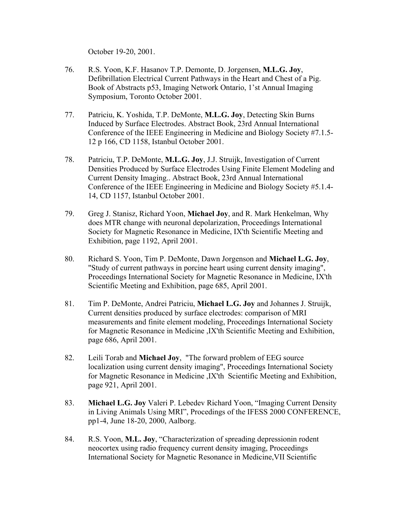October 19-20, 2001.

- 76. R.S. Yoon, K.F. Hasanov T.P. Demonte, D. Jorgensen, **M.L.G. Joy**, Defibrillation Electrical Current Pathways in the Heart and Chest of a Pig. Book of Abstracts p53, Imaging Network Ontario, 1'st Annual Imaging Symposium, Toronto October 2001.
- 77. Patriciu, K. Yoshida, T.P. DeMonte, **M.L.G. Joy**, Detecting Skin Burns Induced by Surface Electrodes. Abstract Book, 23rd Annual International Conference of the IEEE Engineering in Medicine and Biology Society #7.1.5- 12 p 166, CD 1158, Istanbul October 2001.
- 78. Patriciu, T.P. DeMonte, **M.L.G. Joy**, J.J. Struijk, Investigation of Current Densities Produced by Surface Electrodes Using Finite Element Modeling and Current Density Imaging.. Abstract Book, 23rd Annual International Conference of the IEEE Engineering in Medicine and Biology Society #5.1.4- 14, CD 1157, Istanbul October 2001.
- 79. Greg J. Stanisz, Richard Yoon, **Michael Joy**, and R. Mark Henkelman, Why does MTR change with neuronal depolarization, Proceedings International Society for Magnetic Resonance in Medicine, IX'th Scientific Meeting and Exhibition, page 1192, April 2001.
- 80. Richard S. Yoon, Tim P. DeMonte, Dawn Jorgenson and **Michael L.G. Joy**, "Study of current pathways in porcine heart using current density imaging", Proceedings International Society for Magnetic Resonance in Medicine, IX'th Scientific Meeting and Exhibition, page 685, April 2001.
- 81. Tim P. DeMonte, Andrei Patriciu, **Michael L.G. Joy** and Johannes J. Struijk, Current densities produced by surface electrodes: comparison of MRI measurements and finite element modeling, Proceedings International Society for Magnetic Resonance in Medicine ,IX'th Scientific Meeting and Exhibition, page 686, April 2001.
- 82. Leili Torab and **Michael Joy**, "The forward problem of EEG source localization using current density imaging", Proceedings International Society for Magnetic Resonance in Medicine ,IX'th Scientific Meeting and Exhibition, page 921, April 2001.
- 83. **Michael L.G. Joy** Valeri P. Lebedev Richard Yoon, "Imaging Current Density in Living Animals Using MRI", Procedings of the IFESS 2000 CONFERENCE, pp1-4, June 18-20, 2000, Aalborg.
- 84. R.S. Yoon, **M.L. Joy**, "Characterization of spreading depressionin rodent neocortex using radio frequency current density imaging, Proceedings International Society for Magnetic Resonance in Medicine,VII Scientific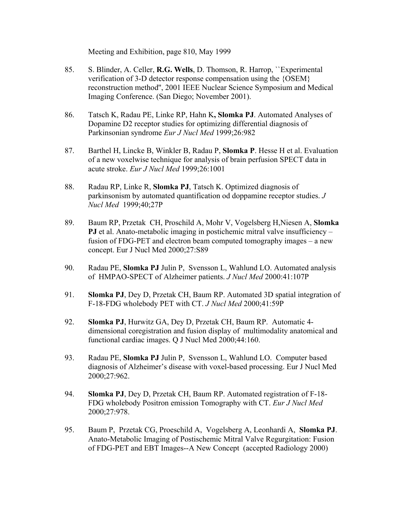Meeting and Exhibition, page 810, May 1999

- 85. S. Blinder, A. Celler, **R.G. Wells**, D. Thomson, R. Harrop, ``Experimental verification of 3-D detector response compensation using the {OSEM} reconstruction method'', 2001 IEEE Nuclear Science Symposium and Medical Imaging Conference. (San Diego; November 2001).
- 86. Tatsch K, Radau PE, Linke RP, Hahn K**, Slomka PJ**. Automated Analyses of Dopamine D2 receptor studies for optimizing differential diagnosis of Parkinsonian syndrome *Eur J Nucl Med* 1999;26:982
- 87. Barthel H, Lincke B, Winkler B, Radau P, **Slomka P**. Hesse H et al. Evaluation of a new voxelwise technique for analysis of brain perfusion SPECT data in acute stroke. *Eur J Nucl Med* 1999;26:1001
- 88. Radau RP, Linke R, **Slomka PJ**, Tatsch K. Optimized diagnosis of parkinsonism by automated quantification od doppamine receptor studies. *J Nucl Med* 1999;40;27P
- 89. Baum RP, Przetak CH, Proschild A, Mohr V, Vogelsberg H,Niesen A, **Slomka PJ** et al. Anato-metabolic imaging in postichemic mitral valve insufficiency – fusion of FDG-PET and electron beam computed tomography images – a new concept. Eur J Nucl Med 2000;27:S89
- 90. Radau PE, **Slomka PJ** Julin P, Svensson L, Wahlund LO. Automated analysis of HMPAO-SPECT of Alzheimer patients. *J Nucl Med* 2000:41:107P
- 91. **Slomka PJ**, Dey D, Przetak CH, Baum RP. Automated 3D spatial integration of F-18-FDG wholebody PET with CT. *J Nucl Med* 2000;41:59P
- 92. **Slomka PJ**, Hurwitz GA, Dey D, Przetak CH, Baum RP. Automatic 4 dimensional coregistration and fusion display of multimodality anatomical and functional cardiac images. Q J Nucl Med 2000;44:160.
- 93. Radau PE, **Slomka PJ** Julin P, Svensson L, Wahlund LO. Computer based diagnosis of Alzheimer's disease with voxel-based processing. Eur J Nucl Med 2000;27:962.
- 94. **Slomka PJ**, Dey D, Przetak CH, Baum RP. Automated registration of F-18- FDG wholebody Positron emission Tomography with CT. *Eur J Nucl Med* 2000;27:978.
- 95. Baum P, Przetak CG, Proeschild A, Vogelsberg A, Leonhardi A, **Slomka PJ**. Anato-Metabolic Imaging of Postischemic Mitral Valve Regurgitation: Fusion of FDG-PET and EBT Images--A New Concept (accepted Radiology 2000)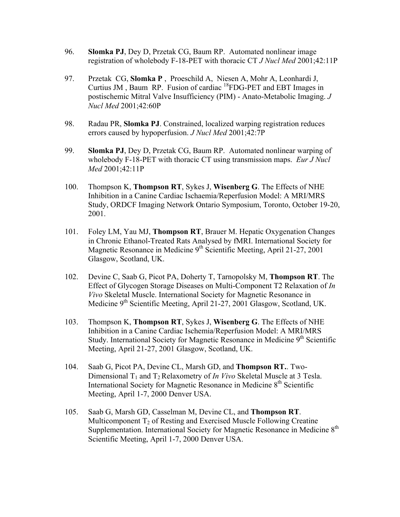- 96. **Slomka PJ**, Dey D, Przetak CG, Baum RP. Automated nonlinear image registration of wholebody F-18-PET with thoracic CT *J Nucl Med* 2001;42:11P
- 97. Przetak CG, **Slomka P** , Proeschild A, Niesen A, Mohr A, Leonhardi J, Curtius JM, Baum RP. Fusion of cardiac  ${}^{18}$ FDG-PET and EBT Images in postischemic Mitral Valve Insufficiency (PIM) - Anato-Metabolic Imaging. *J Nucl Med* 2001;42:60P
- 98. Radau PR, **Slomka PJ**. Constrained, localized warping registration reduces errors caused by hypoperfusion. *J Nucl Med* 2001;42:7P
- 99. **Slomka PJ**, Dey D, Przetak CG, Baum RP. Automated nonlinear warping of wholebody F-18-PET with thoracic CT using transmission maps. *Eur J Nucl Med* 2001;42:11P
- 100. Thompson K, **Thompson RT**, Sykes J, **Wisenberg G**. The Effects of NHE Inhibition in a Canine Cardiac Ischaemia/Reperfusion Model: A MRI/MRS Study, ORDCF Imaging Network Ontario Symposium, Toronto, October 19-20, 2001.
- 101. Foley LM, Yau MJ, **Thompson RT**, Brauer M. Hepatic Oxygenation Changes in Chronic Ethanol-Treated Rats Analysed by fMRI. International Society for Magnetic Resonance in Medicine 9<sup>th</sup> Scientific Meeting, April 21-27, 2001 Glasgow, Scotland, UK.
- 102. Devine C, Saab G, Picot PA, Doherty T, Tarnopolsky M, **Thompson RT**. The Effect of Glycogen Storage Diseases on Multi-Component T2 Relaxation of *In Vivo* Skeletal Muscle. International Society for Magnetic Resonance in Medicine 9<sup>th</sup> Scientific Meeting, April 21-27, 2001 Glasgow, Scotland, UK.
- 103. Thompson K, **Thompson RT**, Sykes J, **Wisenberg G**. The Effects of NHE Inhibition in a Canine Cardiac Ischemia/Reperfusion Model: A MRI/MRS Study. International Society for Magnetic Resonance in Medicine  $9<sup>th</sup>$  Scientific Meeting, April 21-27, 2001 Glasgow, Scotland, UK.
- 104. Saab G, Picot PA, Devine CL, Marsh GD, and **Thompson RT.**. Two-Dimensional T<sub>1</sub> and T<sub>2</sub> Relaxometry of *In Vivo* Skeletal Muscle at 3 Tesla. International Society for Magnetic Resonance in Medicine  $8<sup>th</sup>$  Scientific Meeting, April 1-7, 2000 Denver USA.
- 105. Saab G, Marsh GD, Casselman M, Devine CL, and **Thompson RT**. Multicomponent  $T_2$  of Resting and Exercised Muscle Following Creatine Supplementation. International Society for Magnetic Resonance in Medicine  $8<sup>th</sup>$ Scientific Meeting, April 1-7, 2000 Denver USA.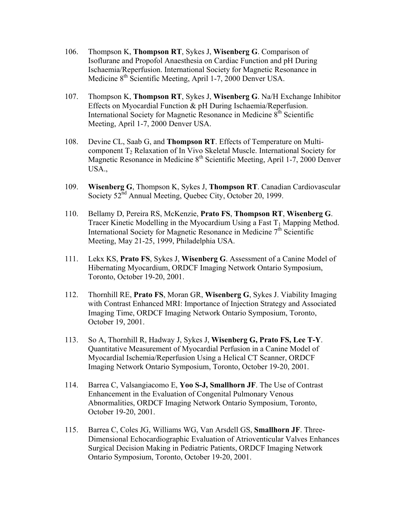- 106. Thompson K, **Thompson RT**, Sykes J, **Wisenberg G**. Comparison of Isoflurane and Propofol Anaesthesia on Cardiac Function and pH During Ischaemia/Reperfusion. International Society for Magnetic Resonance in Medicine 8<sup>th</sup> Scientific Meeting, April 1-7, 2000 Denver USA.
- 107. Thompson K, **Thompson RT**, Sykes J, **Wisenberg G**. Na/H Exchange Inhibitor Effects on Myocardial Function & pH During Ischaemia/Reperfusion. International Society for Magnetic Resonance in Medicine 8<sup>th</sup> Scientific Meeting, April 1-7, 2000 Denver USA.
- 108. Devine CL, Saab G, and **Thompson RT**. Effects of Temperature on Multicomponent T2 Relaxation of In Vivo Skeletal Muscle. International Society for Magnetic Resonance in Medicine 8<sup>th</sup> Scientific Meeting, April 1-7, 2000 Denver USA.,
- 109. **Wisenberg G**, Thompson K, Sykes J, **Thompson RT**. Canadian Cardiovascular Society 52<sup>nd</sup> Annual Meeting, Quebec City, October 20, 1999.
- 110. Bellamy D, Pereira RS, McKenzie, **Prato FS**, **Thompson RT**, **Wisenberg G**. Tracer Kinetic Modelling in the Myocardium Using a Fast  $T_1$  Mapping Method. International Society for Magnetic Resonance in Medicine  $7<sup>th</sup>$  Scientific Meeting, May 21-25, 1999, Philadelphia USA.
- 111. Lekx KS, **Prato FS**, Sykes J, **Wisenberg G**. Assessment of a Canine Model of Hibernating Myocardium, ORDCF Imaging Network Ontario Symposium, Toronto, October 19-20, 2001.
- 112. Thornhill RE, **Prato FS**, Moran GR, **Wisenberg G**, Sykes J. Viability Imaging with Contrast Enhanced MRI: Importance of Injection Strategy and Associated Imaging Time, ORDCF Imaging Network Ontario Symposium, Toronto, October 19, 2001.
- 113. So A, Thornhill R, Hadway J, Sykes J, **Wisenberg G, Prato FS, Lee T-Y**. Quantitative Measurement of Myocardial Perfusion in a Canine Model of Myocardial Ischemia/Reperfusion Using a Helical CT Scanner, ORDCF Imaging Network Ontario Symposium, Toronto, October 19-20, 2001.
- 114. Barrea C, Valsangiacomo E, **Yoo S-J, Smallhorn JF**. The Use of Contrast Enhancement in the Evaluation of Congenital Pulmonary Venous Abnormalities, ORDCF Imaging Network Ontario Symposium, Toronto, October 19-20, 2001.
- 115. Barrea C, Coles JG, Williams WG, Van Arsdell GS, **Smallhorn JF**. Three-Dimensional Echocardiographic Evaluation of Atrioventicular Valves Enhances Surgical Decision Making in Pediatric Patients, ORDCF Imaging Network Ontario Symposium, Toronto, October 19-20, 2001.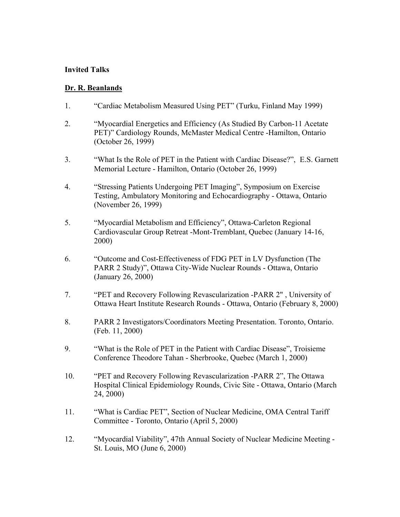### **Invited Talks**

### **Dr. R. Beanlands**

- 1. "Cardiac Metabolism Measured Using PET" (Turku, Finland May 1999)
- 2. "Myocardial Energetics and Efficiency (As Studied By Carbon-11 Acetate PET)" Cardiology Rounds, McMaster Medical Centre -Hamilton, Ontario (October 26, 1999)
- 3. "What Is the Role of PET in the Patient with Cardiac Disease?", E.S. Garnett Memorial Lecture - Hamilton, Ontario (October 26, 1999)
- 4. "Stressing Patients Undergoing PET Imaging", Symposium on Exercise Testing, Ambulatory Monitoring and Echocardiography - Ottawa, Ontario (November 26, 1999)
- 5. "Myocardial Metabolism and Efficiency", Ottawa-Carleton Regional Cardiovascular Group Retreat -Mont-Tremblant, Quebec (January 14-16, 2000)
- 6. "Outcome and Cost-Effectiveness of FDG PET in LV Dysfunction (The PARR 2 Study)", Ottawa City-Wide Nuclear Rounds - Ottawa, Ontario (January 26, 2000)
- 7. "PET and Recovery Following Revascularization -PARR 2" , University of Ottawa Heart Institute Research Rounds - Ottawa, Ontario (February 8, 2000)
- 8. PARR 2 Investigators/Coordinators Meeting Presentation. Toronto, Ontario. (Feb. 11, 2000)
- 9. "What is the Role of PET in the Patient with Cardiac Disease", Troisieme Conference Theodore Tahan - Sherbrooke, Quebec (March 1, 2000)
- 10. "PET and Recovery Following Revascularization -PARR 2", The Ottawa Hospital Clinical Epidemiology Rounds, Civic Site - Ottawa, Ontario (March 24, 2000)
- 11. "What is Cardiac PET", Section of Nuclear Medicine, OMA Central Tariff Committee - Toronto, Ontario (April 5, 2000)
- 12. "Myocardial Viability", 47th Annual Society of Nuclear Medicine Meeting St. Louis, MO (June 6, 2000)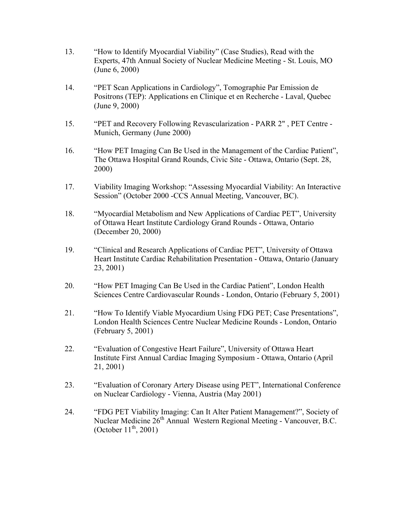- 13. "How to Identify Myocardial Viability" (Case Studies), Read with the Experts, 47th Annual Society of Nuclear Medicine Meeting - St. Louis, MO (June 6, 2000)
- 14. "PET Scan Applications in Cardiology", Tomographie Par Emission de Positrons (TEP): Applications en Clinique et en Recherche - Laval, Quebec (June 9, 2000)
- 15. "PET and Recovery Following Revascularization PARR 2" , PET Centre Munich, Germany (June 2000)
- 16. "How PET Imaging Can Be Used in the Management of the Cardiac Patient", The Ottawa Hospital Grand Rounds, Civic Site - Ottawa, Ontario (Sept. 28, 2000)
- 17. Viability Imaging Workshop: "Assessing Myocardial Viability: An Interactive Session" (October 2000 -CCS Annual Meeting, Vancouver, BC).
- 18. "Myocardial Metabolism and New Applications of Cardiac PET", University of Ottawa Heart Institute Cardiology Grand Rounds - Ottawa, Ontario (December 20, 2000)
- 19. "Clinical and Research Applications of Cardiac PET", University of Ottawa Heart Institute Cardiac Rehabilitation Presentation - Ottawa, Ontario (January 23, 2001)
- 20. "How PET Imaging Can Be Used in the Cardiac Patient", London Health Sciences Centre Cardiovascular Rounds - London, Ontario (February 5, 2001)
- 21. "How To Identify Viable Myocardium Using FDG PET; Case Presentations", London Health Sciences Centre Nuclear Medicine Rounds - London, Ontario (February 5, 2001)
- 22. "Evaluation of Congestive Heart Failure", University of Ottawa Heart Institute First Annual Cardiac Imaging Symposium - Ottawa, Ontario (April 21, 2001)
- 23. "Evaluation of Coronary Artery Disease using PET", International Conference on Nuclear Cardiology - Vienna, Austria (May 2001)
- 24. "FDG PET Viability Imaging: Can It Alter Patient Management?", Society of Nuclear Medicine 26<sup>th</sup> Annual Western Regional Meeting - Vancouver, B.C. (October  $11^{th}$ , 2001)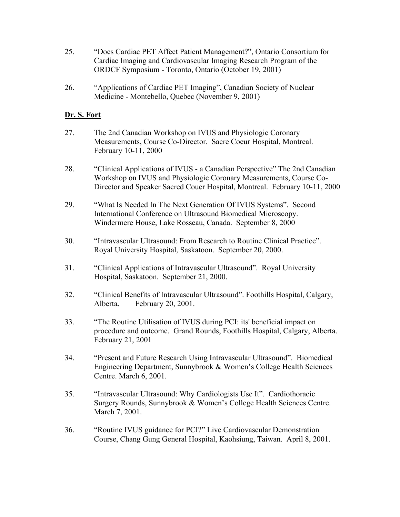- 25. "Does Cardiac PET Affect Patient Management?", Ontario Consortium for Cardiac Imaging and Cardiovascular Imaging Research Program of the ORDCF Symposium - Toronto, Ontario (October 19, 2001)
- 26. "Applications of Cardiac PET Imaging", Canadian Society of Nuclear Medicine - Montebello, Quebec (November 9, 2001)

### **Dr. S. Fort**

- 27. The 2nd Canadian Workshop on IVUS and Physiologic Coronary Measurements, Course Co-Director. Sacre Coeur Hospital, Montreal. February 10-11, 2000
- 28. "Clinical Applications of IVUS a Canadian Perspective" The 2nd Canadian Workshop on IVUS and Physiologic Coronary Measurements, Course Co-Director and Speaker Sacred Couer Hospital, Montreal. February 10-11, 2000
- 29. "What Is Needed In The Next Generation Of IVUS Systems". Second International Conference on Ultrasound Biomedical Microscopy. Windermere House, Lake Rosseau, Canada. September 8, 2000
- 30. "Intravascular Ultrasound: From Research to Routine Clinical Practice". Royal University Hospital, Saskatoon. September 20, 2000.
- 31. "Clinical Applications of Intravascular Ultrasound". Royal University Hospital, Saskatoon. September 21, 2000.
- 32. "Clinical Benefits of Intravascular Ultrasound". Foothills Hospital, Calgary, Alberta. February 20, 2001.
- 33. "The Routine Utilisation of IVUS during PCI: its' beneficial impact on procedure and outcome. Grand Rounds, Foothills Hospital, Calgary, Alberta. February 21, 2001
- 34. "Present and Future Research Using Intravascular Ultrasound". Biomedical Engineering Department, Sunnybrook & Women's College Health Sciences Centre. March 6, 2001.
- 35. "Intravascular Ultrasound: Why Cardiologists Use It". Cardiothoracic Surgery Rounds, Sunnybrook & Women's College Health Sciences Centre. March 7, 2001.
- 36. "Routine IVUS guidance for PCI?" Live Cardiovascular Demonstration Course, Chang Gung General Hospital, Kaohsiung, Taiwan. April 8, 2001.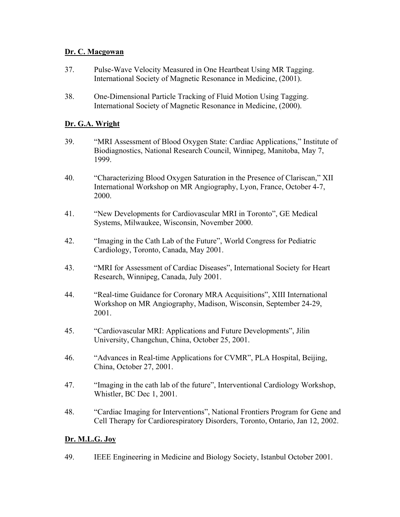# **Dr. C. Macgowan**

- 37. Pulse-Wave Velocity Measured in One Heartbeat Using MR Tagging. International Society of Magnetic Resonance in Medicine, (2001).
- 38. One-Dimensional Particle Tracking of Fluid Motion Using Tagging. International Society of Magnetic Resonance in Medicine, (2000).

# **Dr. G.A. Wright**

- 39. "MRI Assessment of Blood Oxygen State: Cardiac Applications," Institute of Biodiagnostics, National Research Council, Winnipeg, Manitoba, May 7, 1999.
- 40. "Characterizing Blood Oxygen Saturation in the Presence of Clariscan," XII International Workshop on MR Angiography, Lyon, France, October 4-7, 2000.
- 41. "New Developments for Cardiovascular MRI in Toronto", GE Medical Systems, Milwaukee, Wisconsin, November 2000.
- 42. "Imaging in the Cath Lab of the Future", World Congress for Pediatric Cardiology, Toronto, Canada, May 2001.
- 43. "MRI for Assessment of Cardiac Diseases", International Society for Heart Research, Winnipeg, Canada, July 2001.
- 44. "Real-time Guidance for Coronary MRA Acquisitions", XIII International Workshop on MR Angiography, Madison, Wisconsin, September 24-29, 2001.
- 45. "Cardiovascular MRI: Applications and Future Developments", Jilin University, Changchun, China, October 25, 2001.
- 46. "Advances in Real-time Applications for CVMR", PLA Hospital, Beijing, China, October 27, 2001.
- 47. "Imaging in the cath lab of the future", Interventional Cardiology Workshop, Whistler, BC Dec 1, 2001.
- 48. "Cardiac Imaging for Interventions", National Frontiers Program for Gene and Cell Therapy for Cardiorespiratory Disorders, Toronto, Ontario, Jan 12, 2002.

# **Dr. M.L.G. Joy**

49. IEEE Engineering in Medicine and Biology Society, Istanbul October 2001.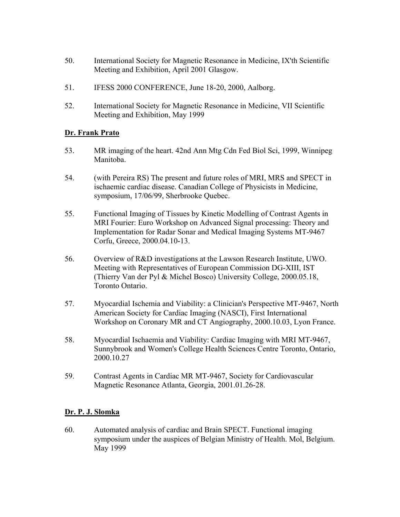- 50. International Society for Magnetic Resonance in Medicine, IX'th Scientific Meeting and Exhibition, April 2001 Glasgow.
- 51. IFESS 2000 CONFERENCE, June 18-20, 2000, Aalborg.
- 52. International Society for Magnetic Resonance in Medicine, VII Scientific Meeting and Exhibition, May 1999

# **Dr. Frank Prato**

- 53. MR imaging of the heart. 42nd Ann Mtg Cdn Fed Biol Sci, 1999, Winnipeg Manitoba.
- 54. (with Pereira RS) The present and future roles of MRI, MRS and SPECT in ischaemic cardiac disease. Canadian College of Physicists in Medicine, symposium, 17/06/99, Sherbrooke Quebec.
- 55. Functional Imaging of Tissues by Kinetic Modelling of Contrast Agents in MRI Fourier: Euro Workshop on Advanced Signal processing: Theory and Implementation for Radar Sonar and Medical Imaging Systems MT-9467 Corfu, Greece, 2000.04.10-13.
- 56. Overview of R&D investigations at the Lawson Research Institute, UWO. Meeting with Representatives of European Commission DG-XIII, IST (Thierry Van der Pyl & Michel Bosco) University College, 2000.05.18, Toronto Ontario.
- 57. Myocardial Ischemia and Viability: a Clinician's Perspective MT-9467, North American Society for Cardiac Imaging (NASCI), First International Workshop on Coronary MR and CT Angiography, 2000.10.03, Lyon France.
- 58. Myocardial Ischaemia and Viability: Cardiac Imaging with MRI MT-9467, Sunnybrook and Women's College Health Sciences Centre Toronto, Ontario, 2000.10.27
- 59. Contrast Agents in Cardiac MR MT-9467, Society for Cardiovascular Magnetic Resonance Atlanta, Georgia, 2001.01.26-28.

# **Dr. P. J. Slomka**

60. Automated analysis of cardiac and Brain SPECT. Functional imaging symposium under the auspices of Belgian Ministry of Health. Mol, Belgium. May 1999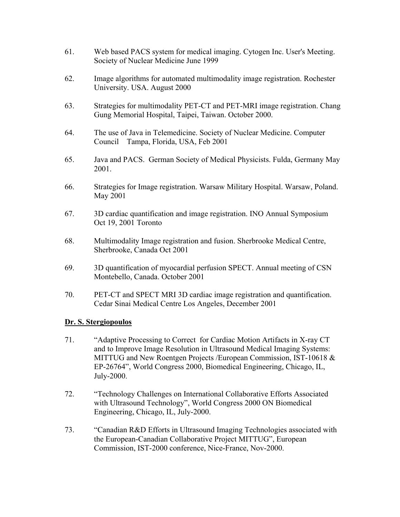- 61. Web based PACS system for medical imaging. Cytogen Inc. User's Meeting. Society of Nuclear Medicine June 1999
- 62. Image algorithms for automated multimodality image registration. Rochester University. USA. August 2000
- 63. Strategies for multimodality PET-CT and PET-MRI image registration. Chang Gung Memorial Hospital, Taipei, Taiwan. October 2000.
- 64. The use of Java in Telemedicine. Society of Nuclear Medicine. Computer Council Tampa, Florida, USA, Feb 2001
- 65. Java and PACS. German Society of Medical Physicists. Fulda, Germany May 2001.
- 66. Strategies for Image registration. Warsaw Military Hospital. Warsaw, Poland. May 2001
- 67. 3D cardiac quantification and image registration. INO Annual Symposium Oct 19, 2001 Toronto
- 68. Multimodality Image registration and fusion. Sherbrooke Medical Centre, Sherbrooke, Canada Oct 2001
- 69. 3D quantification of myocardial perfusion SPECT. Annual meeting of CSN Montebello, Canada. October 2001
- 70. PET-CT and SPECT MRI 3D cardiac image registration and quantification. Cedar Sinai Medical Centre Los Angeles, December 2001

# **Dr. S. Stergiopoulos**

- 71. "Adaptive Processing to Correct for Cardiac Motion Artifacts in X-ray CT and to Improve Image Resolution in Ultrasound Medical Imaging Systems: MITTUG and New Roentgen Projects /European Commission, IST-10618 & EP-26764", World Congress 2000, Biomedical Engineering, Chicago, IL, July-2000.
- 72. "Technology Challenges on International Collaborative Efforts Associated with Ultrasound Technology", World Congress 2000 ON Biomedical Engineering, Chicago, IL, July-2000.
- 73. "Canadian R&D Efforts in Ultrasound Imaging Technologies associated with the European-Canadian Collaborative Project MITTUG", European Commission, IST-2000 conference, Nice-France, Nov-2000.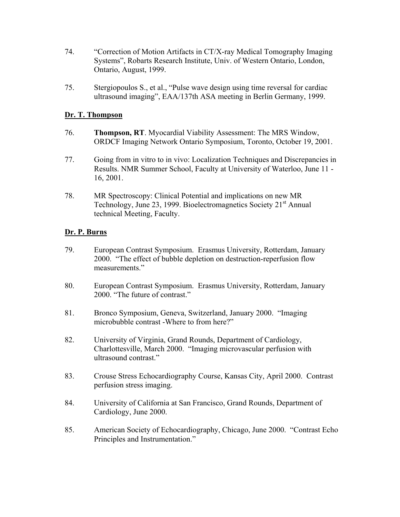- 74. "Correction of Motion Artifacts in CT/X-ray Medical Tomography Imaging Systems", Robarts Research Institute, Univ. of Western Ontario, London, Ontario, August, 1999.
- 75. Stergiopoulos S., et al., "Pulse wave design using time reversal for cardiac ultrasound imaging", EAA/137th ASA meeting in Berlin Germany, 1999.

### **Dr. T. Thompson**

- 76. **Thompson, RT**. Myocardial Viability Assessment: The MRS Window, ORDCF Imaging Network Ontario Symposium, Toronto, October 19, 2001.
- 77. Going from in vitro to in vivo: Localization Techniques and Discrepancies in Results. NMR Summer School, Faculty at University of Waterloo, June 11 - 16, 2001.
- 78. MR Spectroscopy: Clinical Potential and implications on new MR Technology, June 23, 1999. Bioelectromagnetics Society  $21<sup>st</sup>$  Annual technical Meeting, Faculty.

### **Dr. P. Burns**

- 79. European Contrast Symposium. Erasmus University, Rotterdam, January 2000. "The effect of bubble depletion on destruction-reperfusion flow measurements."
- 80. European Contrast Symposium. Erasmus University, Rotterdam, January 2000. "The future of contrast."
- 81. Bronco Symposium, Geneva, Switzerland, January 2000. "Imaging microbubble contrast -Where to from here?"
- 82. University of Virginia, Grand Rounds, Department of Cardiology, Charlottesville, March 2000. "Imaging microvascular perfusion with ultrasound contrast."
- 83. Crouse Stress Echocardiography Course, Kansas City, April 2000. Contrast perfusion stress imaging.
- 84. University of California at San Francisco, Grand Rounds, Department of Cardiology, June 2000.
- 85. American Society of Echocardiography, Chicago, June 2000. "Contrast Echo Principles and Instrumentation."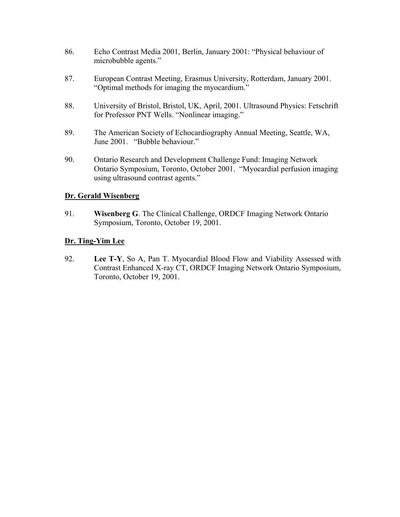- 86. Echo Contrast Media 2001, Berlin, January 2001: "Physical behaviour of microbubble agents."
- 87. European Contrast Meeting, Erasmus University, Rotterdam, January 2001. "Optimal methods for imaging the myocardium."
- 88. University of Bristol, Bristol, UK, April, 2001. Ultrasound Physics: Fetschrift for Professor PNT Wells. "Nonlinear imaging."
- 89. The American Society of Echocardiography Annual Meeting, Seattle, WA, June 2001. "Bubble behaviour."
- 90. Ontario Research and Development Challenge Fund: Imaging Network Ontario Symposium, Toronto, October 2001. "Myocardial perfusion imaging using ultrasound contrast agents."

# **Dr. Gerald Wisenberg**

91. **Wisenberg G**. The Clinical Challenge, ORDCF Imaging Network Ontario Symposium, Toronto, October 19, 2001.

### **Dr. Ting-Yim Lee**

92. **Lee T-Y**, So A, Pan T. Myocardial Blood Flow and Viability Assessed with Contrast Enhanced X-ray CT, ORDCF Imaging Network Ontario Symposium, Toronto, October 19, 2001.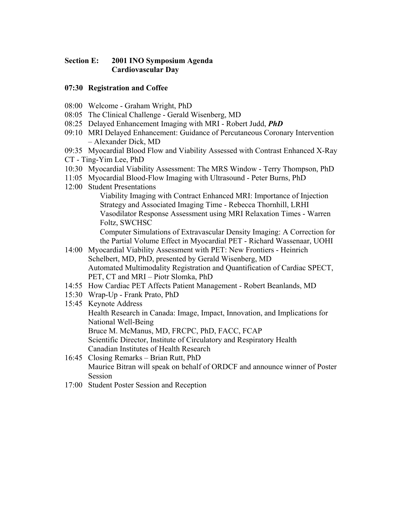# **Section E: 2001 INO Symposium Agenda Cardiovascular Day**

# **07:30 Registration and Coffee**

- 08:00 Welcome Graham Wright, PhD
- 08:05 The Clinical Challenge Gerald Wisenberg, MD
- 08:25 Delayed Enhancement Imaging with MRI Robert Judd, *PhD*
- 09:10 MRI Delayed Enhancement: Guidance of Percutaneous Coronary Intervention – Alexander Dick, MD
- 09:35 Myocardial Blood Flow and Viability Assessed with Contrast Enhanced X-Ray
- CT Ting-Yim Lee, PhD
- 10:30 Myocardial Viability Assessment: The MRS Window Terry Thompson, PhD
- 11:05 Myocardial Blood-Flow Imaging with Ultrasound Peter Burns, PhD
- 12:00 Student Presentations

Viability Imaging with Contract Enhanced MRI: Importance of Injection Strategy and Associated Imaging Time - Rebecca Thornhill, LRHI Vasodilator Response Assessment using MRI Relaxation Times - Warren Foltz, SWCHSC

Computer Simulations of Extravascular Density Imaging: A Correction for the Partial Volume Effect in Myocardial PET - Richard Wassenaar, UOHI

- 14:00 Myocardial Viability Assessment with PET: New Frontiers Heinrich Schelbert, MD, PhD, presented by Gerald Wisenberg, MD Automated Multimodality Registration and Quantification of Cardiac SPECT, PET, CT and MRI – Piotr Slomka, PhD
- 14:55 How Cardiac PET Affects Patient Management Robert Beanlands, MD
- 15:30 Wrap-Up Frank Prato, PhD
- 15:45 Keynote Address Health Research in Canada: Image, Impact, Innovation, and Implications for National Well-Being Bruce M. McManus, MD, FRCPC, PhD, FACC, FCAP Scientific Director, Institute of Circulatory and Respiratory Health Canadian Institutes of Health Research
- 16:45 Closing Remarks Brian Rutt, PhD Maurice Bitran will speak on behalf of ORDCF and announce winner of Poster Session
- 17:00 Student Poster Session and Reception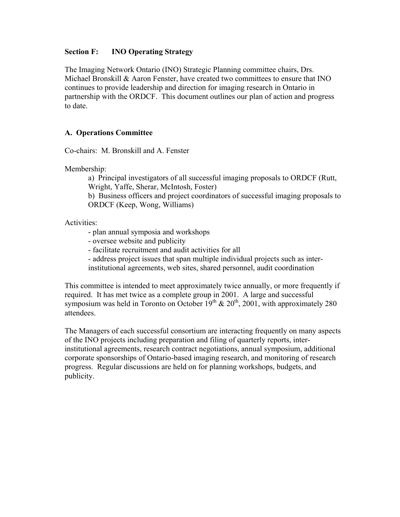### **Section F: INO Operating Strategy**

The Imaging Network Ontario (INO) Strategic Planning committee chairs, Drs. Michael Bronskill  $\&$  Aaron Fenster, have created two committees to ensure that INO continues to provide leadership and direction for imaging research in Ontario in partnership with the ORDCF. This document outlines our plan of action and progress to date.

# **A. Operations Committee**

Co-chairs: M. Bronskill and A. Fenster

Membership:

a) Principal investigators of all successful imaging proposals to ORDCF (Rutt, Wright, Yaffe, Sherar, McIntosh, Foster)

b) Business officers and project coordinators of successful imaging proposals to ORDCF (Keep, Wong, Williams)

Activities:

- plan annual symposia and workshops

- oversee website and publicity
- facilitate recruitment and audit activities for all

- address project issues that span multiple individual projects such as inter-

institutional agreements, web sites, shared personnel, audit coordination

This committee is intended to meet approximately twice annually, or more frequently if required. It has met twice as a complete group in 2001. A large and successful symposium was held in Toronto on October  $19^{th}$  &  $20^{th}$ , 2001, with approximately 280 attendees.

The Managers of each successful consortium are interacting frequently on many aspects of the INO projects including preparation and filing of quarterly reports, interinstitutional agreements, research contract negotiations, annual symposium, additional corporate sponsorships of Ontario-based imaging research, and monitoring of research progress. Regular discussions are held on for planning workshops, budgets, and publicity.